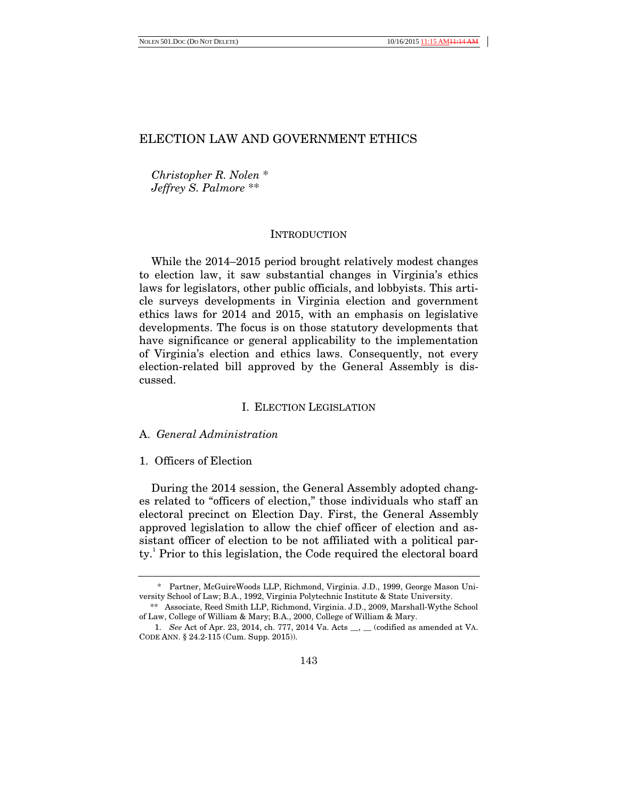*Christopher R. Nolen* \* *Jeffrey S. Palmore* \*\*

# **INTRODUCTION**

While the 2014–2015 period brought relatively modest changes to election law, it saw substantial changes in Virginia's ethics laws for legislators, other public officials, and lobbyists. This article surveys developments in Virginia election and government ethics laws for 2014 and 2015, with an emphasis on legislative developments. The focus is on those statutory developments that have significance or general applicability to the implementation of Virginia's election and ethics laws. Consequently, not every election-related bill approved by the General Assembly is discussed.

## I. ELECTION LEGISLATION

# A. *General Administration*

## 1. Officers of Election

During the 2014 session, the General Assembly adopted changes related to "officers of election," those individuals who staff an electoral precinct on Election Day. First, the General Assembly approved legislation to allow the chief officer of election and assistant officer of election to be not affiliated with a political party.<sup>1</sup> Prior to this legislation, the Code required the electoral board

 <sup>\*</sup> Partner, McGuireWoods LLP, Richmond, Virginia. J.D., 1999, George Mason University School of Law; B.A., 1992, Virginia Polytechnic Institute & State University.

<sup>\*\*</sup> Associate, Reed Smith LLP, Richmond, Virginia. J.D., 2009, Marshall-Wythe School of Law, College of William & Mary; B.A., 2000, College of William & Mary.

 <sup>1.</sup> *See* Act of Apr. 23, 2014, ch. 777, 2014 Va. Acts \_\_, \_\_ (codified as amended at VA. CODE ANN. § 24.2-115 (Cum. Supp. 2015)).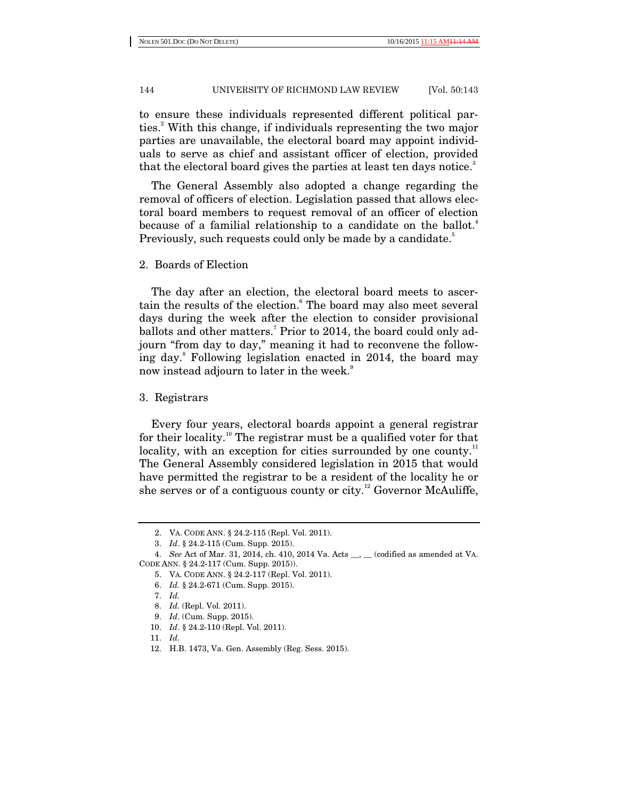to ensure these individuals represented different political parties.<sup>2</sup> With this change, if individuals representing the two major parties are unavailable, the electoral board may appoint individuals to serve as chief and assistant officer of election, provided that the electoral board gives the parties at least ten days notice.<sup>3</sup>

The General Assembly also adopted a change regarding the removal of officers of election. Legislation passed that allows electoral board members to request removal of an officer of election because of a familial relationship to a candidate on the ballot.<sup>4</sup> Previously, such requests could only be made by a candidate.<sup>5</sup>

2. Boards of Election

The day after an election, the electoral board meets to ascertain the results of the election.<sup>6</sup> The board may also meet several days during the week after the election to consider provisional ballots and other matters.<sup>7</sup> Prior to 2014, the board could only adjourn "from day to day," meaning it had to reconvene the following day.<sup>8</sup> Following legislation enacted in 2014, the board may now instead adjourn to later in the week.<sup>9</sup>

3. Registrars

Every four years, electoral boards appoint a general registrar for their locality.<sup>10</sup> The registrar must be a qualified voter for that locality, with an exception for cities surrounded by one county.<sup>11</sup> The General Assembly considered legislation in 2015 that would have permitted the registrar to be a resident of the locality he or she serves or of a contiguous county or city.<sup>12</sup> Governor McAuliffe,

11. *Id.*

 <sup>2.</sup> VA. CODE ANN. § 24.2-115 (Repl. Vol. 2011).

 <sup>3.</sup> *Id*. § 24.2-115 (Cum. Supp. 2015).

 <sup>4.</sup> *See* Act of Mar. 31, 2014, ch. 410, 2014 Va. Acts \_\_, \_\_ (codified as amended at VA. CODE ANN. § 24.2-117 (Cum. Supp. 2015)).

 <sup>5.</sup> VA. CODE ANN. § 24.2-117 (Repl. Vol. 2011).

 <sup>6.</sup> *Id.* § 24.2-671 (Cum. Supp. 2015).

 <sup>7.</sup> *Id.*

 <sup>8.</sup> *Id.* (Repl. Vol. 2011).

 <sup>9.</sup> *Id*. (Cum. Supp. 2015).

 <sup>10.</sup> *Id*. § 24.2-110 (Repl. Vol. 2011).

 <sup>12.</sup> H.B. 1473, Va. Gen. Assembly (Reg. Sess. 2015).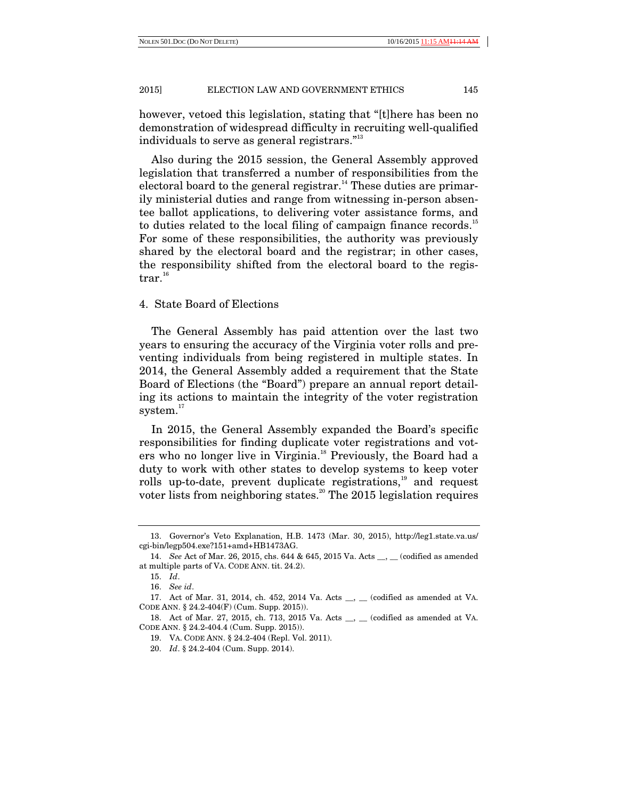however, vetoed this legislation, stating that "[t]here has been no demonstration of widespread difficulty in recruiting well-qualified individuals to serve as general registrars."<sup>13</sup>

Also during the 2015 session, the General Assembly approved legislation that transferred a number of responsibilities from the electoral board to the general registrar.<sup>14</sup> These duties are primarily ministerial duties and range from witnessing in-person absentee ballot applications, to delivering voter assistance forms, and to duties related to the local filing of campaign finance records.<sup>15</sup> For some of these responsibilities, the authority was previously shared by the electoral board and the registrar; in other cases, the responsibility shifted from the electoral board to the regis- $\mathrm{trar.}^{16}$ 

# 4. State Board of Elections

The General Assembly has paid attention over the last two years to ensuring the accuracy of the Virginia voter rolls and preventing individuals from being registered in multiple states. In 2014, the General Assembly added a requirement that the State Board of Elections (the "Board") prepare an annual report detailing its actions to maintain the integrity of the voter registration system. $17$ 

In 2015, the General Assembly expanded the Board's specific responsibilities for finding duplicate voter registrations and voters who no longer live in Virginia.<sup>18</sup> Previously, the Board had a duty to work with other states to develop systems to keep voter rolls up-to-date, prevent duplicate registrations,<sup>19</sup> and request voter lists from neighboring states.<sup>20</sup> The 2015 legislation requires

 <sup>13.</sup> Governor's Veto Explanation, H.B. 1473 (Mar. 30, 2015), http://leg1.state.va.us/ cgi-bin/legp504.exe?151+amd+HB1473AG.

 <sup>14.</sup> *See* Act of Mar. 26, 2015, chs. 644 & 645, 2015 Va. Acts \_\_, \_\_ (codified as amended at multiple parts of VA. CODE ANN. tit. 24.2).

 <sup>15.</sup> *Id*.

 <sup>16.</sup> *See id*.

 <sup>17.</sup> Act of Mar. 31, 2014, ch. 452, 2014 Va. Acts \_\_, \_\_ (codified as amended at VA. CODE ANN. § 24.2-404(F) (Cum. Supp. 2015)).

 <sup>18.</sup> Act of Mar. 27, 2015, ch. 713, 2015 Va. Acts \_\_, \_\_ (codified as amended at VA. CODE ANN. § 24.2-404.4 (Cum. Supp. 2015)).

 <sup>19.</sup> VA. CODE ANN. § 24.2-404 (Repl. Vol. 2011).

 <sup>20.</sup> *Id*. § 24.2-404 (Cum. Supp. 2014).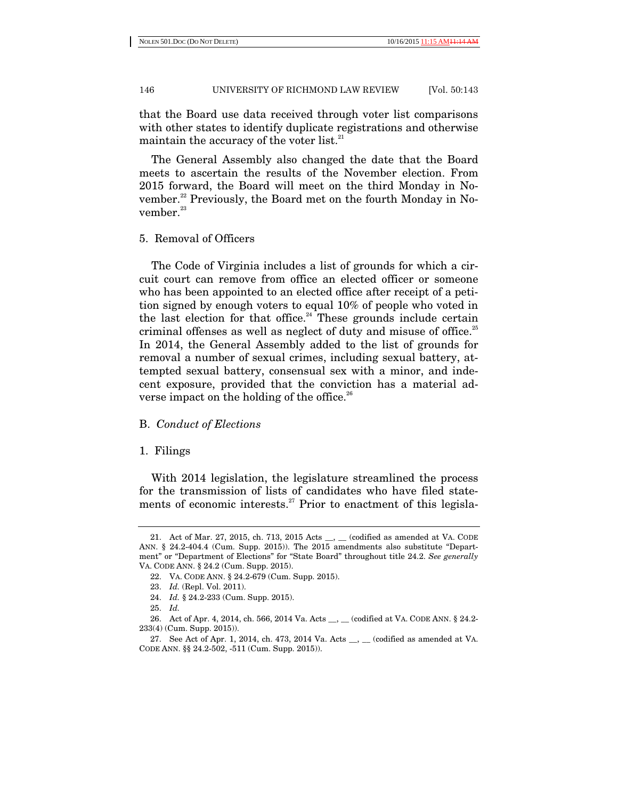that the Board use data received through voter list comparisons with other states to identify duplicate registrations and otherwise maintain the accuracy of the voter list.<sup>21</sup>

The General Assembly also changed the date that the Board meets to ascertain the results of the November election. From 2015 forward, the Board will meet on the third Monday in November.<sup>22</sup> Previously, the Board met on the fourth Monday in November. $23$ 

# 5. Removal of Officers

The Code of Virginia includes a list of grounds for which a circuit court can remove from office an elected officer or someone who has been appointed to an elected office after receipt of a petition signed by enough voters to equal 10% of people who voted in the last election for that office.<sup>24</sup> These grounds include certain criminal offenses as well as neglect of duty and misuse of office.<sup>25</sup> In 2014, the General Assembly added to the list of grounds for removal a number of sexual crimes, including sexual battery, attempted sexual battery, consensual sex with a minor, and indecent exposure, provided that the conviction has a material adverse impact on the holding of the office.<sup>26</sup>

## B. *Conduct of Elections*

## 1. Filings

With 2014 legislation, the legislature streamlined the process for the transmission of lists of candidates who have filed statements of economic interests.<sup>27</sup> Prior to enactment of this legisla-

 <sup>21.</sup> Act of Mar. 27, 2015, ch. 713, 2015 Acts \_\_, \_\_ (codified as amended at VA. CODE ANN. § 24.2-404.4 (Cum. Supp. 2015)). The 2015 amendments also substitute "Department" or "Department of Elections" for "State Board" throughout title 24.2. *See generally* VA. CODE ANN. § 24.2 (Cum. Supp. 2015).

 <sup>22.</sup> VA. CODE ANN. § 24.2-679 (Cum. Supp. 2015).

 <sup>23.</sup> *Id.* (Repl. Vol. 2011).

 <sup>24.</sup> *Id.* § 24.2-233 (Cum. Supp. 2015).

 <sup>25.</sup> *Id.*

 <sup>26.</sup> Act of Apr. 4, 2014, ch. 566, 2014 Va. Acts \_\_, \_\_ (codified at VA. CODE ANN. § 24.2- 233(4) (Cum. Supp. 2015)).

 <sup>27.</sup> See Act of Apr. 1, 2014, ch. 473, 2014 Va. Acts \_\_, \_\_ (codified as amended at VA. CODE ANN. §§ 24.2-502, -511 (Cum. Supp. 2015)).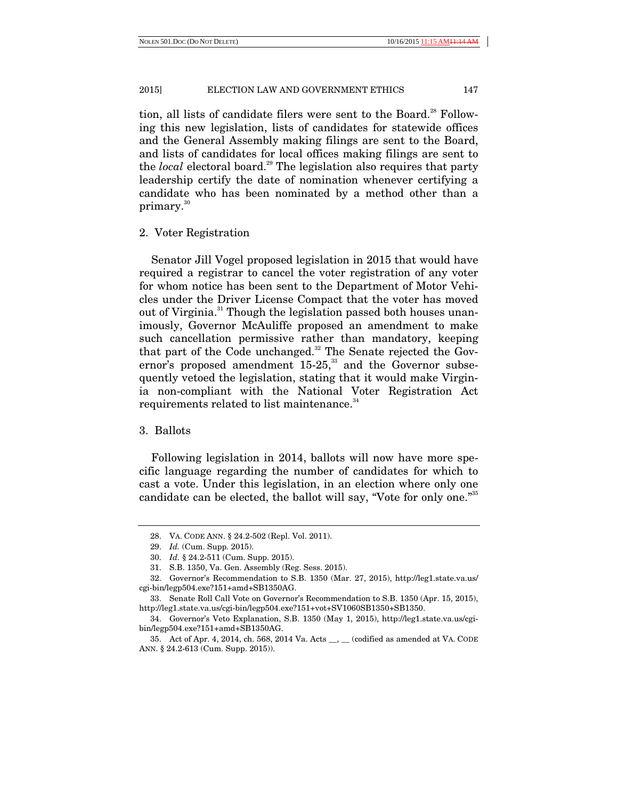tion, all lists of candidate filers were sent to the Board.<sup>28</sup> Following this new legislation, lists of candidates for statewide offices and the General Assembly making filings are sent to the Board, and lists of candidates for local offices making filings are sent to the *local* electoral board.<sup>29</sup> The legislation also requires that party leadership certify the date of nomination whenever certifying a candidate who has been nominated by a method other than a primary.<sup>30</sup>

## 2. Voter Registration

Senator Jill Vogel proposed legislation in 2015 that would have required a registrar to cancel the voter registration of any voter for whom notice has been sent to the Department of Motor Vehicles under the Driver License Compact that the voter has moved out of Virginia.<sup>31</sup> Though the legislation passed both houses unanimously, Governor McAuliffe proposed an amendment to make such cancellation permissive rather than mandatory, keeping that part of the Code unchanged.<sup>32</sup> The Senate rejected the Governor's proposed amendment  $15-25$ ,<sup>33</sup> and the Governor subsequently vetoed the legislation, stating that it would make Virginia non-compliant with the National Voter Registration Act requirements related to list maintenance.<sup>34</sup>

## 3. Ballots

Following legislation in 2014, ballots will now have more specific language regarding the number of candidates for which to cast a vote. Under this legislation, in an election where only one candidate can be elected, the ballot will say, "Vote for only one."<sup>35</sup>

 <sup>28.</sup> VA. CODE ANN. § 24.2-502 (Repl. Vol. 2011).

 <sup>29.</sup> *Id.* (Cum. Supp. 2015).

 <sup>30.</sup> *Id.* § 24.2-511 (Cum. Supp. 2015).

 <sup>31.</sup> S.B. 1350, Va. Gen. Assembly (Reg. Sess. 2015).

 <sup>32.</sup> Governor's Recommendation to S.B. 1350 (Mar. 27, 2015), http://leg1.state.va.us/ cgi-bin/legp504.exe?151+amd+SB1350AG.

 <sup>33.</sup> Senate Roll Call Vote on Governor's Recommendation to S.B. 1350 (Apr. 15, 2015), http://leg1.state.va.us/cgi-bin/legp504.exe?151+vot+SV1060SB1350+SB1350.

 <sup>34.</sup> Governor's Veto Explanation, S.B. 1350 (May 1, 2015), http://leg1.state.va.us/cgibin/legp504.exe?151+amd+SB1350AG.

 <sup>35.</sup> Act of Apr. 4, 2014, ch. 568, 2014 Va. Acts \_\_, \_\_ (codified as amended at VA. CODE ANN. § 24.2-613 (Cum. Supp. 2015)).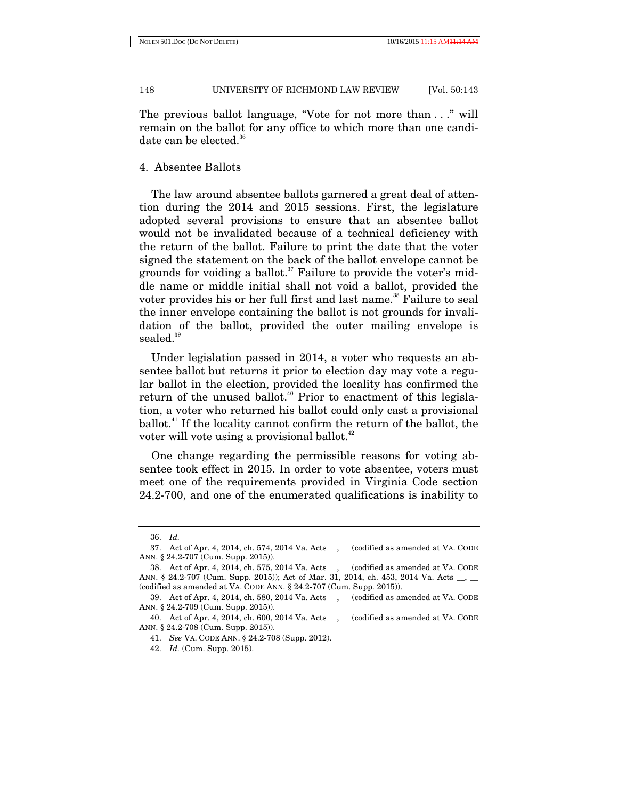The previous ballot language, "Vote for not more than . . ." will remain on the ballot for any office to which more than one candidate can be elected.<sup>36</sup>

# 4. Absentee Ballots

The law around absentee ballots garnered a great deal of attention during the 2014 and 2015 sessions. First, the legislature adopted several provisions to ensure that an absentee ballot would not be invalidated because of a technical deficiency with the return of the ballot. Failure to print the date that the voter signed the statement on the back of the ballot envelope cannot be grounds for voiding a ballot.<sup>37</sup> Failure to provide the voter's middle name or middle initial shall not void a ballot, provided the voter provides his or her full first and last name.<sup>38</sup> Failure to seal the inner envelope containing the ballot is not grounds for invalidation of the ballot, provided the outer mailing envelope is sealed.<sup>39</sup>

Under legislation passed in 2014, a voter who requests an absentee ballot but returns it prior to election day may vote a regular ballot in the election, provided the locality has confirmed the return of the unused ballot.<sup>40</sup> Prior to enactment of this legislation, a voter who returned his ballot could only cast a provisional ballot.41 If the locality cannot confirm the return of the ballot, the voter will vote using a provisional ballot.<sup>42</sup>

One change regarding the permissible reasons for voting absentee took effect in 2015. In order to vote absentee, voters must meet one of the requirements provided in Virginia Code section 24.2-700, and one of the enumerated qualifications is inability to

 <sup>36.</sup> *Id.*

 <sup>37.</sup> Act of Apr. 4, 2014, ch. 574, 2014 Va. Acts \_\_, \_\_ (codified as amended at VA. CODE ANN. § 24.2-707 (Cum. Supp. 2015)).

 <sup>38.</sup> Act of Apr. 4, 2014, ch. 575, 2014 Va. Acts \_\_, \_\_ (codified as amended at VA. CODE ANN. § 24.2-707 (Cum. Supp. 2015)); Act of Mar. 31, 2014, ch. 453, 2014 Va. Acts \_\_, \_\_ (codified as amended at VA. CODE ANN. § 24.2-707 (Cum. Supp. 2015)).

<sup>39.</sup> Act of Apr. 4, 2014, ch. 580, 2014 Va. Acts \_\_, \_\_ (codified as amended at VA. CODE ANN. § 24.2-709 (Cum. Supp. 2015)).

 <sup>40.</sup> Act of Apr. 4, 2014, ch. 600, 2014 Va. Acts \_\_, \_\_ (codified as amended at VA. CODE ANN. § 24.2-708 (Cum. Supp. 2015)).

 <sup>41.</sup> *See* VA. CODE ANN. § 24.2-708 (Supp. 2012).

 <sup>42.</sup> *Id.* (Cum. Supp. 2015).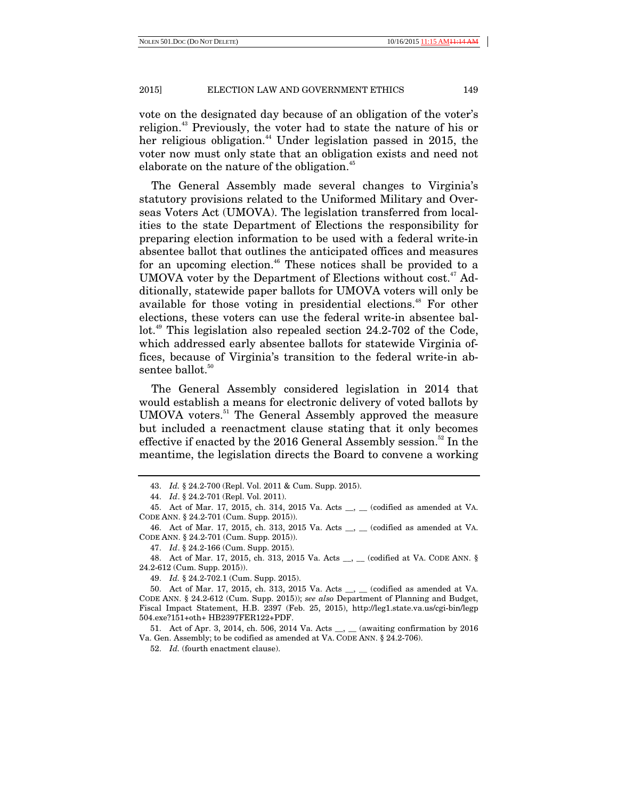vote on the designated day because of an obligation of the voter's religion.<sup>43</sup> Previously, the voter had to state the nature of his or her religious obligation.<sup>44</sup> Under legislation passed in 2015, the voter now must only state that an obligation exists and need not elaborate on the nature of the obligation.<sup>45</sup>

The General Assembly made several changes to Virginia's statutory provisions related to the Uniformed Military and Overseas Voters Act (UMOVA). The legislation transferred from localities to the state Department of Elections the responsibility for preparing election information to be used with a federal write-in absentee ballot that outlines the anticipated offices and measures for an upcoming election.<sup>46</sup> These notices shall be provided to a UMOVA voter by the Department of Elections without  $cost<sup>47</sup>$  Additionally, statewide paper ballots for UMOVA voters will only be available for those voting in presidential elections.<sup>48</sup> For other elections, these voters can use the federal write-in absentee ballot.<sup>49</sup> This legislation also repealed section 24.2-702 of the Code, which addressed early absentee ballots for statewide Virginia offices, because of Virginia's transition to the federal write-in absentee ballot.<sup>50</sup>

The General Assembly considered legislation in 2014 that would establish a means for electronic delivery of voted ballots by UMOVA voters.<sup>51</sup> The General Assembly approved the measure but included a reenactment clause stating that it only becomes effective if enacted by the 2016 General Assembly session.<sup>52</sup> In the meantime, the legislation directs the Board to convene a working

 46. Act of Mar. 17, 2015, ch. 313, 2015 Va. Acts \_\_, \_\_ (codified as amended at VA. CODE ANN. § 24.2-701 (Cum. Supp. 2015)).

47. *Id*. § 24.2-166 (Cum. Supp. 2015).

 48. Act of Mar. 17, 2015, ch. 313, 2015 Va. Acts \_\_, \_\_ (codified at VA. CODE ANN. § 24.2-612 (Cum. Supp. 2015)).

49. *Id.* § 24.2-702.1 (Cum. Supp. 2015).

51. Act of Apr. 3, 2014, ch. 506, 2014 Va. Acts \_\_, \_\_ (awaiting confirmation by 2016) Va. Gen. Assembly; to be codified as amended at VA. CODE ANN. § 24.2-706).

52. *Id.* (fourth enactment clause).

 <sup>43.</sup> *Id.* § 24.2-700 (Repl. Vol. 2011 & Cum. Supp. 2015).

 <sup>44.</sup> *Id*. § 24.2-701 (Repl. Vol. 2011).

 <sup>45.</sup> Act of Mar. 17, 2015, ch. 314, 2015 Va. Acts \_\_, \_\_ (codified as amended at VA. CODE ANN. § 24.2-701 (Cum. Supp. 2015)).

 <sup>50.</sup> Act of Mar. 17, 2015, ch. 313, 2015 Va. Acts \_\_, \_\_ (codified as amended at VA. CODE ANN. § 24.2-612 (Cum. Supp. 2015)); *see also* Department of Planning and Budget, Fiscal Impact Statement, H.B. 2397 (Feb. 25, 2015), http://leg1.state.va.us/cgi-bin/legp 504.exe?151+oth+ HB2397FER122+PDF.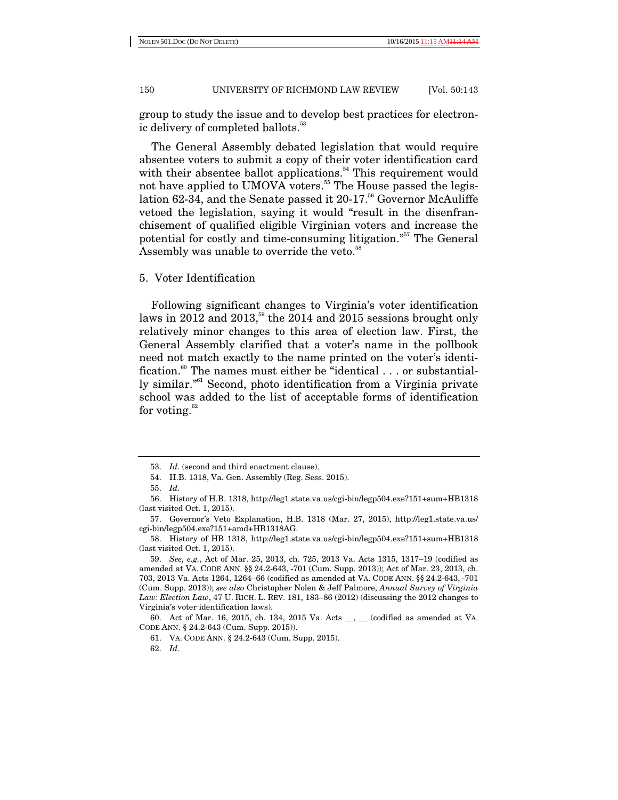NOLEN 501.DOC (DO NOT DELETE) 10/16/2015 11:15

## 150 UNIVERSITY OF RICHMOND LAW REVIEW [Vol. 50:143

group to study the issue and to develop best practices for electronic delivery of completed ballots.<sup>53</sup>

The General Assembly debated legislation that would require absentee voters to submit a copy of their voter identification card with their absentee ballot applications.<sup> $54$ </sup> This requirement would not have applied to UMOVA voters.<sup>55</sup> The House passed the legislation 62-34, and the Senate passed it  $20-17$ <sup>56</sup> Governor McAuliffe vetoed the legislation, saying it would "result in the disenfranchisement of qualified eligible Virginian voters and increase the potential for costly and time-consuming litigation."57 The General Assembly was unable to override the veto.<sup>58</sup>

5. Voter Identification

Following significant changes to Virginia's voter identification laws in 2012 and 2013,<sup>59</sup> the 2014 and 2015 sessions brought only relatively minor changes to this area of election law. First, the General Assembly clarified that a voter's name in the pollbook need not match exactly to the name printed on the voter's identification.<sup>60</sup> The names must either be "identical  $\dots$  or substantially similar."61 Second, photo identification from a Virginia private school was added to the list of acceptable forms of identification for voting. $62$ 

 <sup>53.</sup> *Id.* (second and third enactment clause).

 <sup>54.</sup> H.B. 1318, Va. Gen. Assembly (Reg. Sess. 2015).

 <sup>55.</sup> *Id.*

 <sup>56.</sup> History of H.B. 1318, http://leg1.state.va.us/cgi-bin/legp504.exe?151+sum+HB1318 (last visited Oct. 1, 2015).

 <sup>57.</sup> Governor's Veto Explanation, H.B. 1318 (Mar. 27, 2015), http://leg1.state.va.us/ cgi-bin/legp504.exe?151+amd+HB1318AG.

 <sup>58.</sup> History of HB 1318, http://leg1.state.va.us/cgi-bin/legp504.exe?151+sum+HB1318 (last visited Oct. 1, 2015).

 <sup>59.</sup> *See, e.g.*, Act of Mar. 25, 2013, ch. 725, 2013 Va. Acts 1315, 1317–19 (codified as amended at VA. CODE ANN. §§ 24.2-643, -701 (Cum. Supp. 2013)); Act of Mar. 23, 2013, ch. 703, 2013 Va. Acts 1264, 1264–66 (codified as amended at VA. CODE ANN. §§ 24.2-643, -701 (Cum. Supp. 2013)); *see also* Christopher Nolen & Jeff Palmore, *Annual Survey of Virginia Law: Election Law*, 47 U. RICH. L. REV. 181, 183–86 (2012) (discussing the 2012 changes to Virginia's voter identification laws).

 <sup>60.</sup> Act of Mar. 16, 2015, ch. 134, 2015 Va. Acts \_\_, \_\_ (codified as amended at VA. CODE ANN. § 24.2-643 (Cum. Supp. 2015)).

 <sup>61.</sup> VA. CODE ANN. § 24.2-643 (Cum. Supp. 2015).

 <sup>62.</sup> *Id*.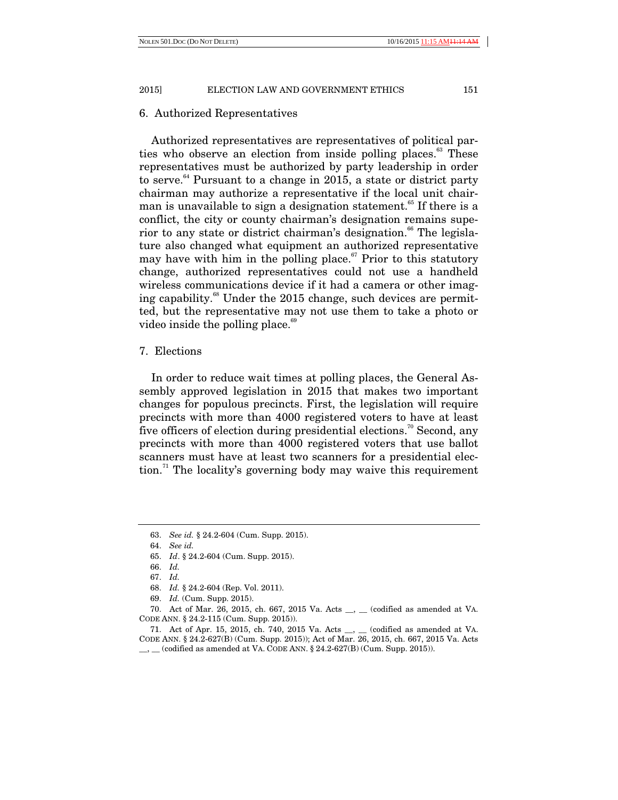## 6. Authorized Representatives

Authorized representatives are representatives of political parties who observe an election from inside polling places.<sup>63</sup> These representatives must be authorized by party leadership in order to serve.<sup>64</sup> Pursuant to a change in 2015, a state or district party chairman may authorize a representative if the local unit chairman is unavailable to sign a designation statement.<sup>65</sup> If there is a conflict, the city or county chairman's designation remains superior to any state or district chairman's designation.<sup>66</sup> The legislature also changed what equipment an authorized representative may have with him in the polling place.<sup> $\sigma$ </sup> Prior to this statutory change, authorized representatives could not use a handheld wireless communications device if it had a camera or other imaging capability.<sup>68</sup> Under the 2015 change, such devices are permitted, but the representative may not use them to take a photo or video inside the polling place.<sup>69</sup>

# 7. Elections

In order to reduce wait times at polling places, the General Assembly approved legislation in 2015 that makes two important changes for populous precincts. First, the legislation will require precincts with more than 4000 registered voters to have at least five officers of election during presidential elections.<sup>70</sup> Second, any precincts with more than 4000 registered voters that use ballot scanners must have at least two scanners for a presidential election.<sup>71</sup> The locality's governing body may waive this requirement

 <sup>63.</sup> *See id.* § 24.2-604 (Cum. Supp. 2015).

 <sup>64.</sup> *See id.*

 <sup>65.</sup> *Id*. § 24.2-604 (Cum. Supp. 2015).

 <sup>66.</sup> *Id.*

 <sup>67.</sup> *Id.* 

 <sup>68.</sup> *Id.* § 24.2-604 (Rep. Vol. 2011).

 <sup>69.</sup> *Id.* (Cum. Supp. 2015).

 <sup>70.</sup> Act of Mar. 26, 2015, ch. 667, 2015 Va. Acts \_\_, \_\_ (codified as amended at VA. CODE ANN. § 24.2-115 (Cum. Supp. 2015)).

 <sup>71.</sup> Act of Apr. 15, 2015, ch. 740, 2015 Va. Acts \_\_, \_\_ (codified as amended at VA. CODE ANN. § 24.2-627(B) (Cum. Supp. 2015)); Act of Mar. 26, 2015, ch. 667, 2015 Va. Acts  $\_\_$ ,  $\_\_$  (codified as amended at VA. CODE ANN. § 24.2-627(B) (Cum. Supp. 2015)).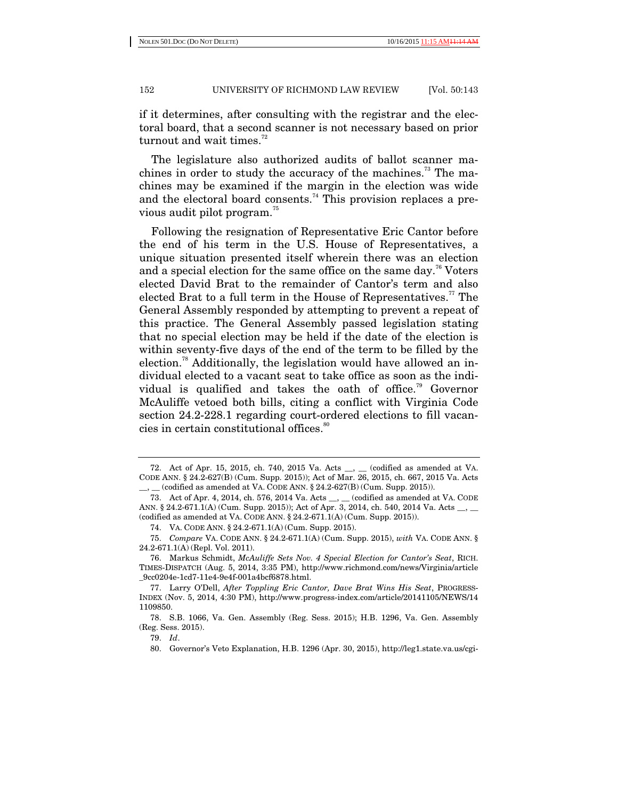if it determines, after consulting with the registrar and the electoral board, that a second scanner is not necessary based on prior turnout and wait times. $72$ 

The legislature also authorized audits of ballot scanner machines in order to study the accuracy of the machines.<sup>73</sup> The machines may be examined if the margin in the election was wide and the electoral board consents.<sup>74</sup> This provision replaces a previous audit pilot program.<sup>75</sup>

Following the resignation of Representative Eric Cantor before the end of his term in the U.S. House of Representatives, a unique situation presented itself wherein there was an election and a special election for the same office on the same day.<sup>76</sup> Voters elected David Brat to the remainder of Cantor's term and also elected Brat to a full term in the House of Representatives.<sup>77</sup> The General Assembly responded by attempting to prevent a repeat of this practice. The General Assembly passed legislation stating that no special election may be held if the date of the election is within seventy-five days of the end of the term to be filled by the election.<sup>78</sup> Additionally, the legislation would have allowed an individual elected to a vacant seat to take office as soon as the individual is qualified and takes the oath of office.<sup>79</sup> Governor McAuliffe vetoed both bills, citing a conflict with Virginia Code section 24.2-228.1 regarding court-ordered elections to fill vacancies in certain constitutional offices.<sup>80</sup>

79. *Id*.

 <sup>72.</sup> Act of Apr. 15, 2015, ch. 740, 2015 Va. Acts \_\_, \_\_ (codified as amended at VA. CODE ANN. § 24.2-627(B) (Cum. Supp. 2015)); Act of Mar. 26, 2015, ch. 667, 2015 Va. Acts  $_$  (codified as amended at VA. CODE ANN. § 24.2-627(B) (Cum. Supp. 2015)).

 <sup>73.</sup> Act of Apr. 4, 2014, ch. 576, 2014 Va. Acts \_\_, \_\_ (codified as amended at VA. CODE ANN. § 24.2-671.1(A) (Cum. Supp. 2015)); Act of Apr. 3, 2014, ch. 540, 2014 Va. Acts \_\_, \_\_ (codified as amended at VA. CODE ANN. § 24.2-671.1(A) (Cum. Supp. 2015)).

 <sup>74.</sup> VA. CODE ANN. § 24.2-671.1(A) (Cum. Supp. 2015).

 <sup>75.</sup> *Compare* VA. CODE ANN. § 24.2-671.1(A) (Cum. Supp. 2015), *with* VA. CODE ANN. § 24.2-671.1(A) (Repl. Vol. 2011).

 <sup>76.</sup> Markus Schmidt, *McAuliffe Sets Nov. 4 Special Election for Cantor's Seat*, RICH. TIMES-DISPATCH (Aug. 5, 2014, 3:35 PM), http://www.richmond.com/news/Virginia/article \_9cc0204e-1cd7-11e4-9e4f-001a4bcf6878.html.

 <sup>77.</sup> Larry O'Dell, *After Toppling Eric Cantor, Dave Brat Wins His Seat*, PROGRESS-INDEX (Nov. 5, 2014, 4:30 PM), http://www.progress-index.com/article/20141105/NEWS/14 1109850.

 <sup>78.</sup> S.B. 1066, Va. Gen. Assembly (Reg. Sess. 2015); H.B. 1296, Va. Gen. Assembly (Reg. Sess. 2015).

 <sup>80.</sup> Governor's Veto Explanation, H.B. 1296 (Apr. 30, 2015), http://leg1.state.va.us/cgi-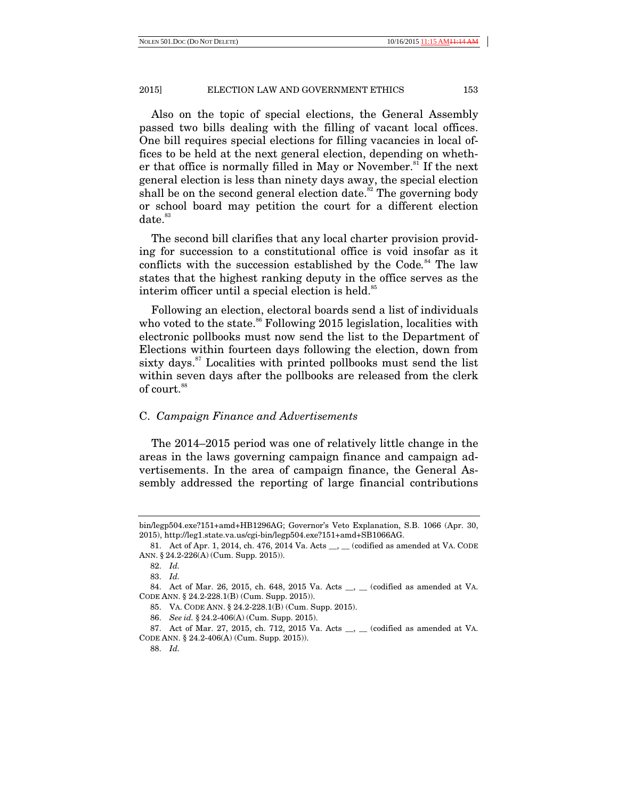Also on the topic of special elections, the General Assembly passed two bills dealing with the filling of vacant local offices. One bill requires special elections for filling vacancies in local offices to be held at the next general election, depending on whether that office is normally filled in May or November.<sup>81</sup> If the next general election is less than ninety days away, the special election shall be on the second general election date.<sup>82</sup> The governing body or school board may petition the court for a different election  $date.<sup>83</sup>$ 

The second bill clarifies that any local charter provision providing for succession to a constitutional office is void insofar as it conflicts with the succession established by the Code*.* 84 The law states that the highest ranking deputy in the office serves as the interim officer until a special election is held.<sup>85</sup>

Following an election, electoral boards send a list of individuals who voted to the state.<sup>86</sup> Following 2015 legislation, localities with electronic pollbooks must now send the list to the Department of Elections within fourteen days following the election, down from sixty days.<sup>87</sup> Localities with printed pollbooks must send the list within seven days after the pollbooks are released from the clerk of court.<sup>88</sup>

# C. *Campaign Finance and Advertisements*

The 2014–2015 period was one of relatively little change in the areas in the laws governing campaign finance and campaign advertisements. In the area of campaign finance, the General Assembly addressed the reporting of large financial contributions

bin/legp504.exe?151+amd+HB1296AG; Governor's Veto Explanation, S.B. 1066 (Apr. 30, 2015), http://leg1.state.va.us/cgi-bin/legp504.exe?151+amd+SB1066AG.

<sup>81.</sup> Act of Apr. 1, 2014, ch. 476, 2014 Va. Acts \_\_, \_\_ (codified as amended at VA. CODE ANN. § 24.2-226(A) (Cum. Supp. 2015)).

 <sup>82.</sup> *Id.*

 <sup>83.</sup> *Id.*

<sup>84.</sup> Act of Mar. 26, 2015, ch. 648, 2015 Va. Acts \_, \_ (codified as amended at VA. CODE ANN. § 24.2-228.1(B) (Cum. Supp. 2015)).

 <sup>85.</sup> VA. CODE ANN. § 24.2-228.1(B) (Cum. Supp. 2015).

 <sup>86.</sup> *See id.* § 24.2-406(A) (Cum. Supp. 2015).

<sup>87.</sup> Act of Mar. 27, 2015, ch. 712, 2015 Va. Acts \_\_, \_\_ (codified as amended at VA. CODE ANN. § 24.2-406(A) (Cum. Supp. 2015)).

 <sup>88.</sup> *Id.*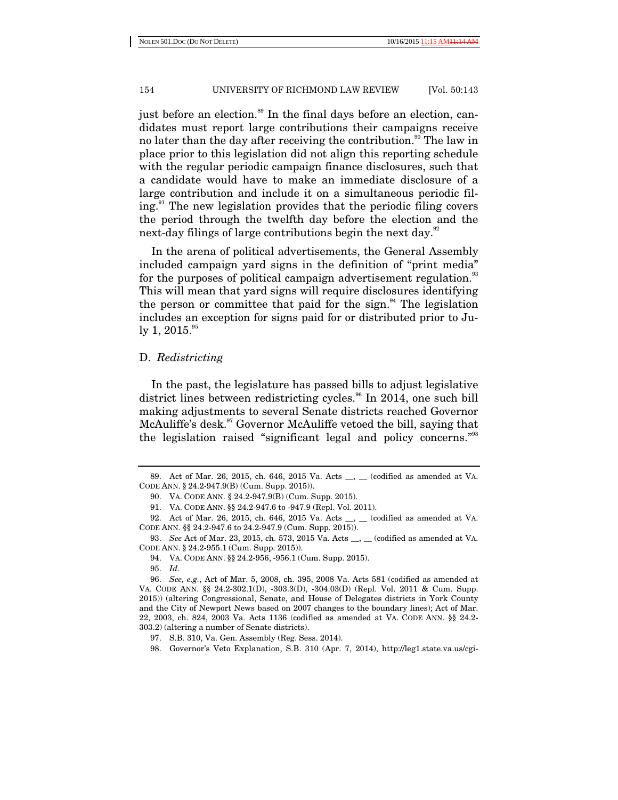just before an election.<sup>89</sup> In the final days before an election, candidates must report large contributions their campaigns receive no later than the day after receiving the contribution.<sup>90</sup> The law in place prior to this legislation did not align this reporting schedule with the regular periodic campaign finance disclosures, such that a candidate would have to make an immediate disclosure of a large contribution and include it on a simultaneous periodic filing.<sup>91</sup> The new legislation provides that the periodic filing covers the period through the twelfth day before the election and the next-day filings of large contributions begin the next day.<sup>92</sup>

In the arena of political advertisements, the General Assembly included campaign yard signs in the definition of "print media" for the purposes of political campaign advertisement regulation.<sup>33</sup> This will mean that yard signs will require disclosures identifying the person or committee that paid for the sign. $94$  The legislation includes an exception for signs paid for or distributed prior to July 1, 2015.<sup>95</sup>

# D. *Redistricting*

In the past, the legislature has passed bills to adjust legislative district lines between redistricting cycles.<sup>96</sup> In 2014, one such bill making adjustments to several Senate districts reached Governor McAuliffe's desk.<sup>97</sup> Governor McAuliffe vetoed the bill, saying that the legislation raised "significant legal and policy concerns."<sup>98</sup>

 <sup>89.</sup> Act of Mar. 26, 2015, ch. 646, 2015 Va. Acts \_\_, \_\_ (codified as amended at VA. CODE ANN. § 24.2-947.9(B) (Cum. Supp. 2015)).

 <sup>90.</sup> VA. CODE ANN. § 24.2-947.9(B) (Cum. Supp. 2015).

 <sup>91.</sup> VA. CODE ANN. §§ 24.2-947.6 to -947.9 (Repl. Vol. 2011).

 <sup>92.</sup> Act of Mar. 26, 2015, ch. 646, 2015 Va. Acts \_\_, \_\_ (codified as amended at VA. CODE ANN. §§ 24.2-947.6 to 24.2-947.9 (Cum. Supp. 2015)).

 <sup>93.</sup> *See* Act of Mar. 23, 2015, ch. 573, 2015 Va. Acts \_\_, \_\_ (codified as amended at VA. CODE ANN. § 24.2-955.1 (Cum. Supp. 2015)).

 <sup>94.</sup> VA. CODE ANN. §§ 24.2-956, -956.1 (Cum. Supp. 2015).

 <sup>95.</sup> *Id*.

 <sup>96.</sup> *See, e.g.*, Act of Mar. 5, 2008, ch. 395, 2008 Va. Acts 581 (codified as amended at VA. CODE ANN. §§ 24.2-302.1(D), -303.3(D), -304.03(D) (Repl. Vol. 2011 & Cum. Supp. 2015)) (altering Congressional, Senate, and House of Delegates districts in York County and the City of Newport News based on 2007 changes to the boundary lines); Act of Mar. 22, 2003, ch. 824, 2003 Va. Acts 1136 (codified as amended at VA. CODE ANN. §§ 24.2- 303.2) (altering a number of Senate districts).

 <sup>97.</sup> S.B. 310, Va. Gen. Assembly (Reg. Sess. 2014).

 <sup>98.</sup> Governor's Veto Explanation, S.B. 310 (Apr. 7, 2014), http://leg1.state.va.us/cgi-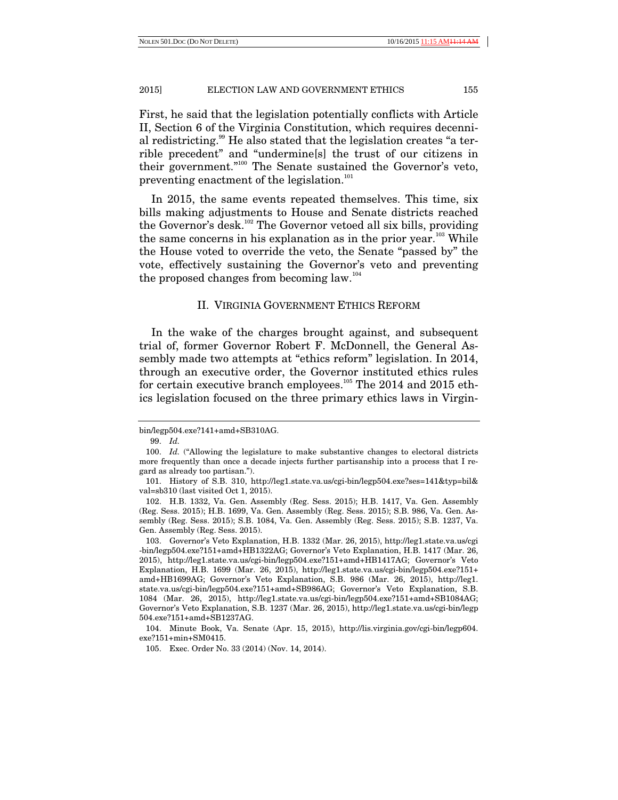First, he said that the legislation potentially conflicts with Article II, Section 6 of the Virginia Constitution, which requires decennial redistricting.<sup>99</sup> He also stated that the legislation creates "a terrible precedent" and "undermine[s] the trust of our citizens in their government."100 The Senate sustained the Governor's veto, preventing enactment of the legislation.<sup>101</sup>

In 2015, the same events repeated themselves. This time, six bills making adjustments to House and Senate districts reached the Governor's desk.<sup>102</sup> The Governor vetoed all six bills, providing the same concerns in his explanation as in the prior year.<sup>103</sup> While the House voted to override the veto, the Senate "passed by" the vote, effectively sustaining the Governor's veto and preventing the proposed changes from becoming law.<sup>104</sup>

# II. VIRGINIA GOVERNMENT ETHICS REFORM

In the wake of the charges brought against, and subsequent trial of, former Governor Robert F. McDonnell, the General Assembly made two attempts at "ethics reform" legislation. In 2014, through an executive order, the Governor instituted ethics rules for certain executive branch employees.<sup>105</sup> The 2014 and 2015 ethics legislation focused on the three primary ethics laws in Virgin-

bin/legp504.exe?141+amd+SB310AG.

 <sup>99.</sup> *Id.*

<sup>100.</sup> *Id.* ("Allowing the legislature to make substantive changes to electoral districts more frequently than once a decade injects further partisanship into a process that I regard as already too partisan.").

 <sup>101.</sup> History of S.B. 310, http://leg1.state.va.us/cgi-bin/legp504.exe?ses=141&typ=bil& val=sb310 (last visited Oct 1, 2015).

 <sup>102.</sup> H.B. 1332, Va. Gen. Assembly (Reg. Sess. 2015); H.B. 1417, Va. Gen. Assembly (Reg. Sess. 2015); H.B. 1699, Va. Gen. Assembly (Reg. Sess. 2015); S.B. 986, Va. Gen. Assembly (Reg. Sess. 2015); S.B. 1084, Va. Gen. Assembly (Reg. Sess. 2015); S.B. 1237, Va. Gen. Assembly (Reg. Sess. 2015).

 <sup>103.</sup> Governor's Veto Explanation, H.B. 1332 (Mar. 26, 2015), http://leg1.state.va.us/cgi -bin/legp504.exe?151+amd+HB1322AG; Governor's Veto Explanation, H.B. 1417 (Mar. 26, 2015), http://leg1.state.va.us/cgi-bin/legp504.exe?151+amd+HB1417AG; Governor's Veto Explanation, H.B. 1699 (Mar. 26, 2015), http://leg1.state.va.us/cgi-bin/legp504.exe?151+ amd+HB1699AG; Governor's Veto Explanation, S.B. 986 (Mar. 26, 2015), http://leg1. state.va.us/cgi-bin/legp504.exe?151+amd+SB986AG; Governor's Veto Explanation, S.B. 1084 (Mar. 26, 2015), http://leg1.state.va.us/cgi-bin/legp504.exe?151+amd+SB1084AG; Governor's Veto Explanation, S.B. 1237 (Mar. 26, 2015), http://leg1.state.va.us/cgi-bin/legp 504.exe?151+amd+SB1237AG.

 <sup>104.</sup> Minute Book, Va. Senate (Apr. 15, 2015), http://lis.virginia.gov/cgi-bin/legp604. exe?151+min+SM0415.

 <sup>105.</sup> Exec. Order No. 33 (2014) (Nov. 14, 2014).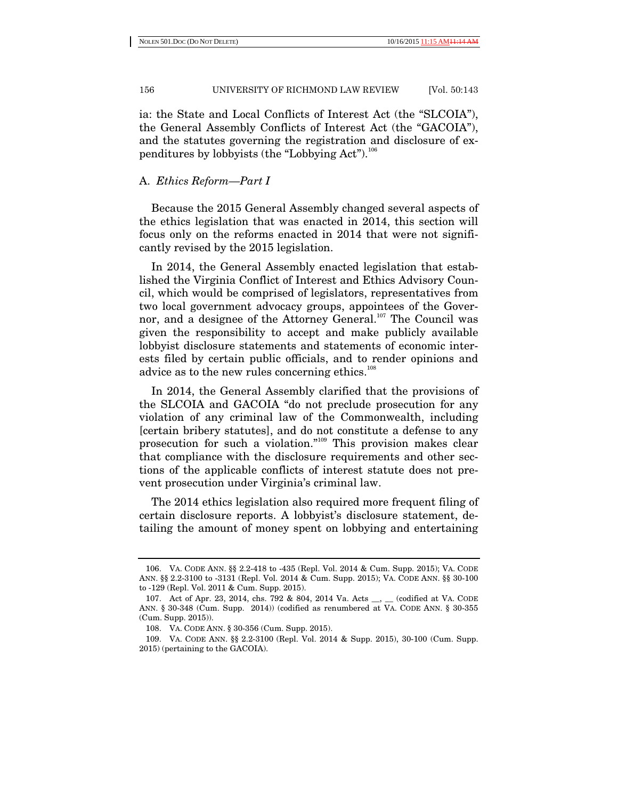ia: the State and Local Conflicts of Interest Act (the "SLCOIA"), the General Assembly Conflicts of Interest Act (the "GACOIA"), and the statutes governing the registration and disclosure of expenditures by lobbyists (the "Lobbying Act").<sup>106</sup>

## A. *Ethics Reform—Part I*

Because the 2015 General Assembly changed several aspects of the ethics legislation that was enacted in 2014, this section will focus only on the reforms enacted in 2014 that were not significantly revised by the 2015 legislation.

In 2014, the General Assembly enacted legislation that established the Virginia Conflict of Interest and Ethics Advisory Council, which would be comprised of legislators, representatives from two local government advocacy groups, appointees of the Governor, and a designee of the Attorney General.<sup>107</sup> The Council was given the responsibility to accept and make publicly available lobbyist disclosure statements and statements of economic interests filed by certain public officials, and to render opinions and advice as to the new rules concerning ethics.<sup>108</sup>

In 2014, the General Assembly clarified that the provisions of the SLCOIA and GACOIA "do not preclude prosecution for any violation of any criminal law of the Commonwealth, including [certain bribery statutes], and do not constitute a defense to any prosecution for such a violation."109 This provision makes clear that compliance with the disclosure requirements and other sections of the applicable conflicts of interest statute does not prevent prosecution under Virginia's criminal law.

The 2014 ethics legislation also required more frequent filing of certain disclosure reports. A lobbyist's disclosure statement, detailing the amount of money spent on lobbying and entertaining

 <sup>106.</sup> VA. CODE ANN. §§ 2.2-418 to -435 (Repl. Vol. 2014 & Cum. Supp. 2015); VA. CODE ANN. §§ 2.2-3100 to -3131 (Repl. Vol. 2014 & Cum. Supp. 2015); VA. CODE ANN. §§ 30-100 to -129 (Repl. Vol. 2011 & Cum. Supp. 2015).

 <sup>107.</sup> Act of Apr. 23, 2014, chs. 792 & 804, 2014 Va. Acts \_\_, \_\_ (codified at VA. CODE ANN. § 30-348 (Cum. Supp. 2014)) (codified as renumbered at VA. CODE ANN. § 30-355 (Cum. Supp. 2015)).

 <sup>108.</sup> VA. CODE ANN. § 30-356 (Cum. Supp. 2015).

 <sup>109.</sup> VA. CODE ANN. §§ 2.2-3100 (Repl. Vol. 2014 & Supp. 2015), 30-100 (Cum. Supp. 2015) (pertaining to the GACOIA).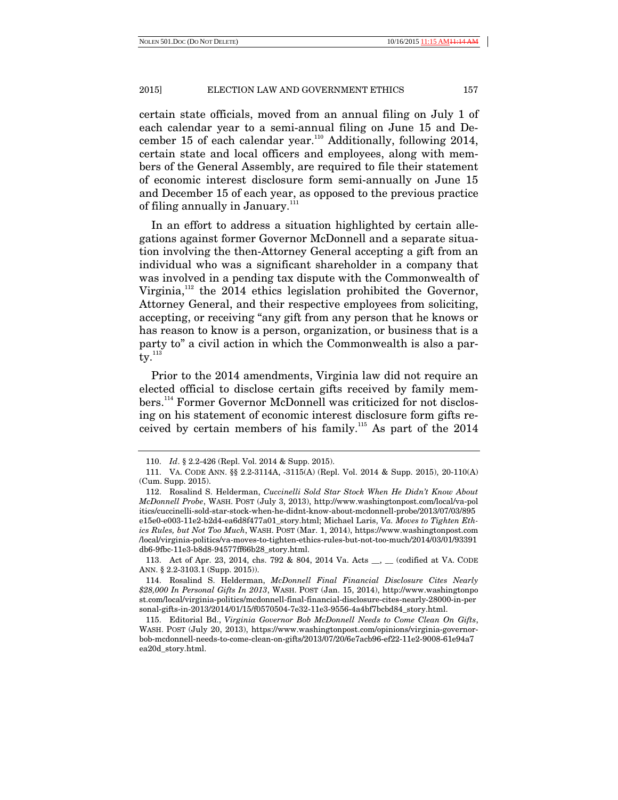certain state officials, moved from an annual filing on July 1 of each calendar year to a semi-annual filing on June 15 and December 15 of each calendar year.<sup>110</sup> Additionally, following 2014, certain state and local officers and employees, along with members of the General Assembly, are required to file their statement of economic interest disclosure form semi-annually on June 15 and December 15 of each year, as opposed to the previous practice of filing annually in January. $111$ 

In an effort to address a situation highlighted by certain allegations against former Governor McDonnell and a separate situation involving the then-Attorney General accepting a gift from an individual who was a significant shareholder in a company that was involved in a pending tax dispute with the Commonwealth of Virginia,<sup>112</sup> the 2014 ethics legislation prohibited the Governor, Attorney General, and their respective employees from soliciting, accepting, or receiving "any gift from any person that he knows or has reason to know is a person, organization, or business that is a party to" a civil action in which the Commonwealth is also a par $tv.$ <sup>113</sup>

Prior to the 2014 amendments, Virginia law did not require an elected official to disclose certain gifts received by family members.<sup>114</sup> Former Governor McDonnell was criticized for not disclosing on his statement of economic interest disclosure form gifts received by certain members of his family.<sup>115</sup> As part of the  $2014$ 

 <sup>110.</sup> *Id*. § 2.2-426 (Repl. Vol. 2014 & Supp. 2015).

 <sup>111.</sup> VA. CODE ANN. §§ 2.2-3114A, -3115(A) (Repl. Vol. 2014 & Supp. 2015), 20-110(A) (Cum. Supp. 2015).

 <sup>112.</sup> Rosalind S. Helderman, *Cuccinelli Sold Star Stock When He Didn't Know About McDonnell Probe*, WASH. POST (July 3, 2013), http://www.washingtonpost.com/local/va-pol itics/cuccinelli-sold-star-stock-when-he-didnt-know-about-mcdonnell-probe/2013/07/03/895 e15e0-e003-11e2-b2d4-ea6d8f477a01\_story.html; Michael Laris, *Va. Moves to Tighten Ethics Rules, but Not Too Much*, WASH. POST (Mar. 1, 2014), https://www.washingtonpost.com /local/virginia-politics/va-moves-to-tighten-ethics-rules-but-not-too-much/2014/03/01/93391 db6-9fbc-11e3-b8d8-94577ff66b28\_story.html.

 <sup>113.</sup> Act of Apr. 23, 2014, chs. 792 & 804, 2014 Va. Acts \_\_, \_\_ (codified at VA. CODE ANN. § 2.2-3103.1 (Supp. 2015)).

 <sup>114.</sup> Rosalind S. Helderman, *McDonnell Final Financial Disclosure Cites Nearly \$28,000 In Personal Gifts In 2013*, WASH. POST (Jan. 15, 2014), http://www.washingtonpo st.com/local/virginia-politics/mcdonnell-final-financial-disclosure-cites-nearly-28000-in-per sonal-gifts-in-2013/2014/01/15/f0570504-7e32-11e3-9556-4a4bf7bcbd84\_story.html.

 <sup>115.</sup> Editorial Bd., *Virginia Governor Bob McDonnell Needs to Come Clean On Gifts*, WASH. POST (July 20, 2013), https://www.washingtonpost.com/opinions/virginia-governorbob-mcdonnell-needs-to-come-clean-on-gifts/2013/07/20/6e7acb96-ef22-11e2-9008-61e94a7 ea20d\_story.html.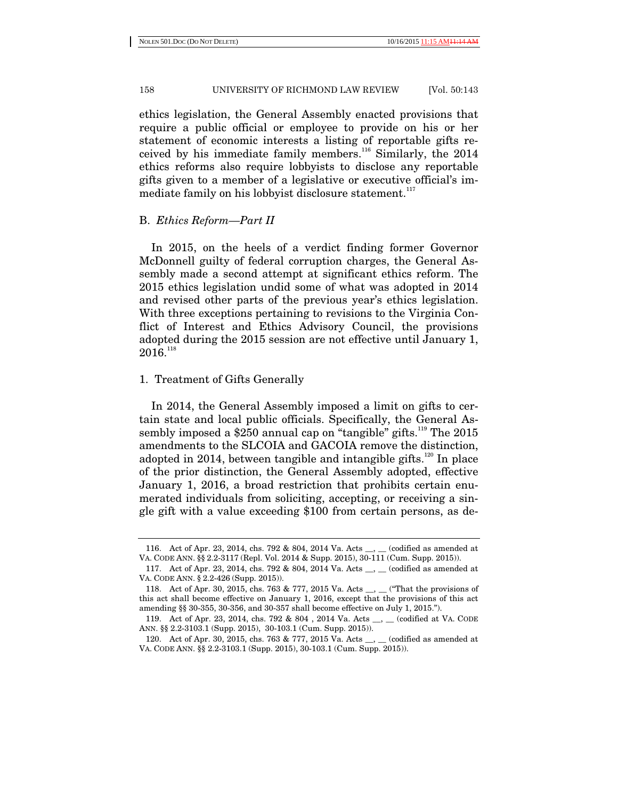ethics legislation, the General Assembly enacted provisions that require a public official or employee to provide on his or her statement of economic interests a listing of reportable gifts received by his immediate family members.<sup>116</sup> Similarly, the 2014 ethics reforms also require lobbyists to disclose any reportable gifts given to a member of a legislative or executive official's immediate family on his lobbyist disclosure statement. $117$ 

## B. *Ethics Reform—Part II*

In 2015, on the heels of a verdict finding former Governor McDonnell guilty of federal corruption charges, the General Assembly made a second attempt at significant ethics reform. The 2015 ethics legislation undid some of what was adopted in 2014 and revised other parts of the previous year's ethics legislation. With three exceptions pertaining to revisions to the Virginia Conflict of Interest and Ethics Advisory Council, the provisions adopted during the 2015 session are not effective until January 1,  $2016.$ <sup>118</sup>

# 1. Treatment of Gifts Generally

In 2014, the General Assembly imposed a limit on gifts to certain state and local public officials. Specifically, the General Assembly imposed a \$250 annual cap on "tangible" gifts.<sup>119</sup> The 2015 amendments to the SLCOIA and GACOIA remove the distinction, adopted in 2014, between tangible and intangible gifts. $120$  In place of the prior distinction, the General Assembly adopted, effective January 1, 2016, a broad restriction that prohibits certain enumerated individuals from soliciting, accepting, or receiving a single gift with a value exceeding \$100 from certain persons, as de-

 <sup>116.</sup> Act of Apr. 23, 2014, chs. 792 & 804, 2014 Va. Acts \_\_, \_\_ (codified as amended at VA. CODE ANN. §§ 2.2-3117 (Repl. Vol. 2014 & Supp. 2015), 30-111 (Cum. Supp. 2015)).

<sup>117.</sup> Act of Apr. 23, 2014, chs. 792 & 804, 2014 Va. Acts \_\_, \_\_ (codified as amended at VA. CODE ANN. § 2.2-426 (Supp. 2015)).

 <sup>118.</sup> Act of Apr. 30, 2015, chs. 763 & 777, 2015 Va. Acts \_\_, \_\_ ("That the provisions of this act shall become effective on January 1, 2016, except that the provisions of this act amending §§ 30-355, 30-356, and 30-357 shall become effective on July 1, 2015.").

<sup>119.</sup> Act of Apr. 23, 2014, chs. 792 & 804 , 2014 Va. Acts \_\_, \_\_ (codified at VA. CODE ANN. §§ 2.2-3103.1 (Supp. 2015), 30-103.1 (Cum. Supp. 2015)).

 <sup>120.</sup> Act of Apr. 30, 2015, chs. 763 & 777, 2015 Va. Acts \_\_, \_\_ (codified as amended at VA. CODE ANN. §§ 2.2-3103.1 (Supp. 2015), 30-103.1 (Cum. Supp. 2015)).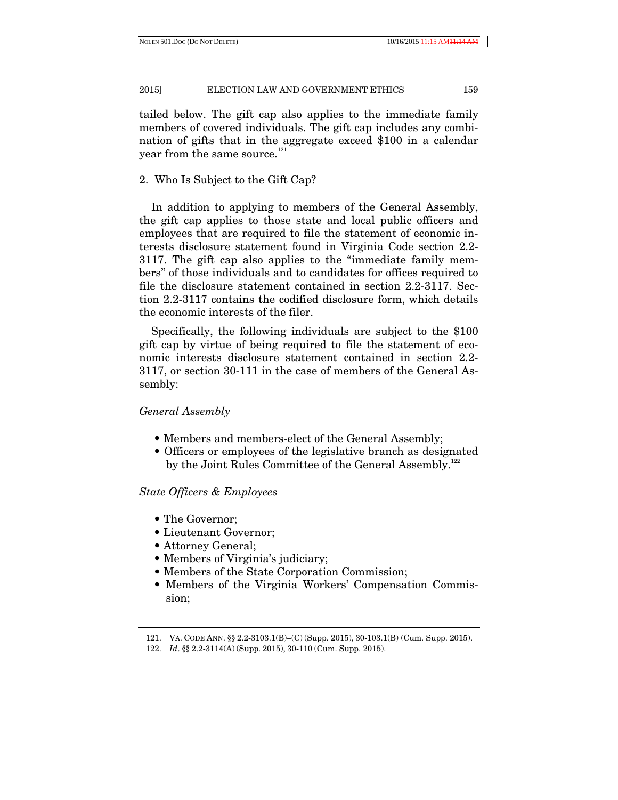tailed below. The gift cap also applies to the immediate family members of covered individuals. The gift cap includes any combination of gifts that in the aggregate exceed \$100 in a calendar year from the same source.<sup>121</sup>

# 2. Who Is Subject to the Gift Cap?

In addition to applying to members of the General Assembly, the gift cap applies to those state and local public officers and employees that are required to file the statement of economic interests disclosure statement found in Virginia Code section 2.2- 3117. The gift cap also applies to the "immediate family members" of those individuals and to candidates for offices required to file the disclosure statement contained in section 2.2-3117. Section 2.2-3117 contains the codified disclosure form, which details the economic interests of the filer.

Specifically, the following individuals are subject to the \$100 gift cap by virtue of being required to file the statement of economic interests disclosure statement contained in section 2.2- 3117, or section 30-111 in the case of members of the General Assembly:

# *General Assembly*

- Members and members-elect of the General Assembly;
- Officers or employees of the legislative branch as designated by the Joint Rules Committee of the General Assembly.<sup>122</sup>

## *State Officers & Employees*

- The Governor;
- Lieutenant Governor;
- Attorney General;
- Members of Virginia's judiciary;
- Members of the State Corporation Commission;
- Members of the Virginia Workers' Compensation Commission;

 <sup>121.</sup> VA. CODE ANN. §§ 2.2-3103.1(B)–(C) (Supp. 2015), 30-103.1(B) (Cum. Supp. 2015).

 <sup>122.</sup> *Id*. §§ 2.2-3114(A) (Supp. 2015), 30-110 (Cum. Supp. 2015).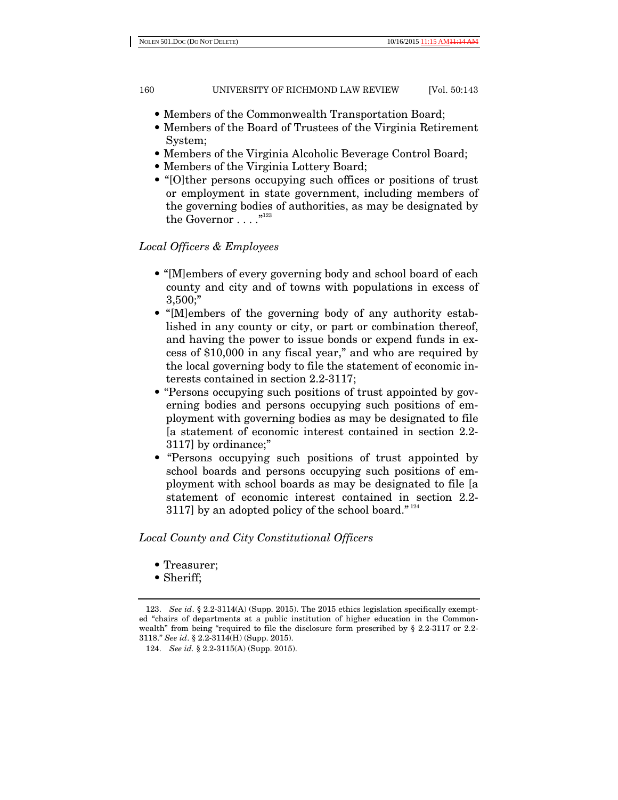- Members of the Commonwealth Transportation Board;
- Members of the Board of Trustees of the Virginia Retirement System;
- Members of the Virginia Alcoholic Beverage Control Board;
- Members of the Virginia Lottery Board;
- "[O]ther persons occupying such offices or positions of trust or employment in state government, including members of the governing bodies of authorities, as may be designated by the Governor . . . .  $.^{"123}$

# *Local Officers & Employees*

- "[M]embers of every governing body and school board of each county and city and of towns with populations in excess of 3,500;"
- "[M]embers of the governing body of any authority established in any county or city, or part or combination thereof, and having the power to issue bonds or expend funds in excess of \$10,000 in any fiscal year," and who are required by the local governing body to file the statement of economic interests contained in section 2.2-3117;
- "Persons occupying such positions of trust appointed by governing bodies and persons occupying such positions of employment with governing bodies as may be designated to file [a statement of economic interest contained in section 2.2- 3117] by ordinance;"
- "Persons occupying such positions of trust appointed by school boards and persons occupying such positions of employment with school boards as may be designated to file [a statement of economic interest contained in section 2.2- 3117] by an adopted policy of the school board." $124$

*Local County and City Constitutional Officers* 

- Treasurer;
- Sheriff;

 <sup>123.</sup> *See id*. § 2.2-3114(A) (Supp. 2015). The 2015 ethics legislation specifically exempted "chairs of departments at a public institution of higher education in the Commonwealth" from being "required to file the disclosure form prescribed by § 2.2-3117 or 2.2- 3118." *See id*. § 2.2-3114(H) (Supp. 2015).

 <sup>124.</sup> *See id.* § 2.2-3115(A) (Supp. 2015).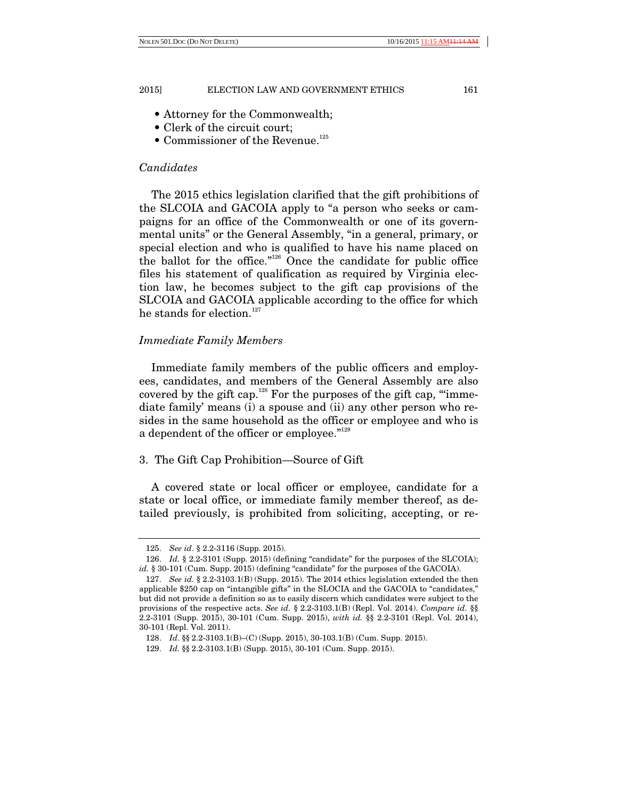- Attorney for the Commonwealth;
- Clerk of the circuit court;
- Commissioner of the Revenue.<sup>125</sup>

## *Candidates*

The 2015 ethics legislation clarified that the gift prohibitions of the SLCOIA and GACOIA apply to "a person who seeks or campaigns for an office of the Commonwealth or one of its governmental units" or the General Assembly, "in a general, primary, or special election and who is qualified to have his name placed on the ballot for the office."126 Once the candidate for public office files his statement of qualification as required by Virginia election law, he becomes subject to the gift cap provisions of the SLCOIA and GACOIA applicable according to the office for which he stands for election.<sup>127</sup>

# *Immediate Family Members*

Immediate family members of the public officers and employees, candidates, and members of the General Assembly are also covered by the gift cap.<sup>128</sup> For the purposes of the gift cap, ""immediate family' means (i) a spouse and (ii) any other person who resides in the same household as the officer or employee and who is a dependent of the officer or employee."<sup>129</sup>

# 3. The Gift Cap Prohibition—Source of Gift

A covered state or local officer or employee, candidate for a state or local office, or immediate family member thereof, as detailed previously, is prohibited from soliciting, accepting, or re-

 <sup>125.</sup> *See id*. § 2.2-3116 (Supp. 2015).

<sup>126.</sup> *Id.* § 2.2-3101 (Supp. 2015) (defining "candidate" for the purposes of the SLCOIA); *id.* § 30-101 (Cum. Supp. 2015) (defining "candidate" for the purposes of the GACOIA).

 <sup>127.</sup> *See id.* § 2.2-3103.1(B) (Supp. 2015). The 2014 ethics legislation extended the then applicable \$250 cap on "intangible gifts" in the SLOCIA and the GACOIA to "candidates," but did not provide a definition so as to easily discern which candidates were subject to the provisions of the respective acts. *See id.* § 2.2-3103.1(B) (Repl. Vol. 2014). *Compare id*. §§ 2.2-3101 (Supp. 2015), 30-101 (Cum. Supp. 2015), *with id.* §§ 2.2-3101 (Repl. Vol. 2014), 30-101 (Repl. Vol. 2011).

 <sup>128.</sup> *Id*. §§ 2.2-3103.1(B)–(C) (Supp. 2015), 30-103.1(B) (Cum. Supp. 2015).

 <sup>129.</sup> *Id.* §§ 2.2-3103.1(B) (Supp. 2015), 30-101 (Cum. Supp. 2015).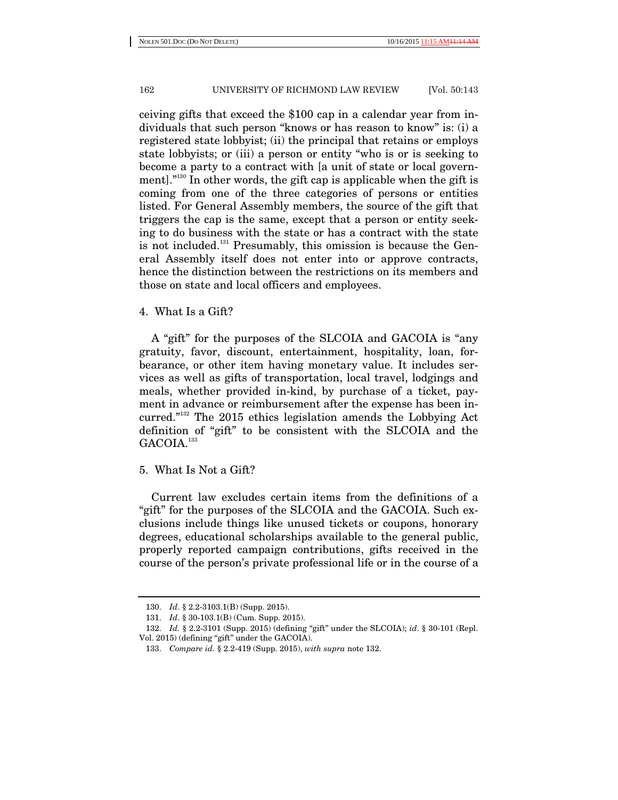ceiving gifts that exceed the \$100 cap in a calendar year from individuals that such person "knows or has reason to know" is: (i) a registered state lobbyist; (ii) the principal that retains or employs state lobbyists; or (iii) a person or entity "who is or is seeking to become a party to a contract with [a unit of state or local government].<sup>"130</sup> In other words, the gift cap is applicable when the gift is coming from one of the three categories of persons or entities listed. For General Assembly members, the source of the gift that triggers the cap is the same, except that a person or entity seeking to do business with the state or has a contract with the state is not included.<sup>131</sup> Presumably, this omission is because the General Assembly itself does not enter into or approve contracts, hence the distinction between the restrictions on its members and those on state and local officers and employees.

4. What Is a Gift?

A "gift" for the purposes of the SLCOIA and GACOIA is "any gratuity, favor, discount, entertainment, hospitality, loan, forbearance, or other item having monetary value. It includes services as well as gifts of transportation, local travel, lodgings and meals, whether provided in-kind, by purchase of a ticket, payment in advance or reimbursement after the expense has been incurred."132 The 2015 ethics legislation amends the Lobbying Act definition of "gift" to be consistent with the SLCOIA and the GACOIA.<sup>133</sup>

# 5. What Is Not a Gift?

Current law excludes certain items from the definitions of a "gift" for the purposes of the SLCOIA and the GACOIA. Such exclusions include things like unused tickets or coupons, honorary degrees, educational scholarships available to the general public, properly reported campaign contributions, gifts received in the course of the person's private professional life or in the course of a

 <sup>130.</sup> *Id*. § 2.2-3103.1(B) (Supp. 2015).

 <sup>131.</sup> *Id*. § 30-103.1(B) (Cum. Supp. 2015).

 <sup>132.</sup> *Id.* § 2.2-3101 (Supp. 2015) (defining "gift" under the SLCOIA); *id*. § 30-101 (Repl. Vol. 2015) (defining "gift" under the GACOIA).

 <sup>133.</sup> *Compare id.* § 2.2-419 (Supp. 2015), *with supra* note 132.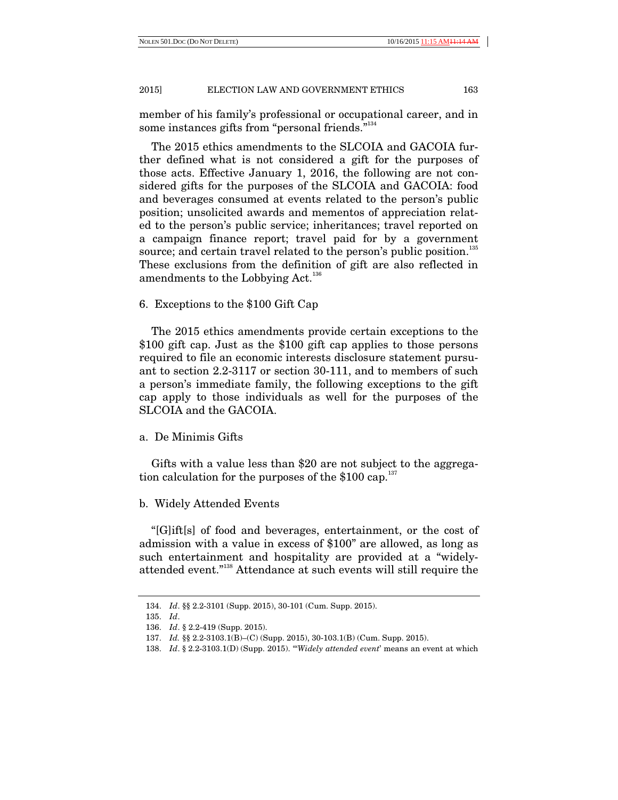member of his family's professional or occupational career, and in some instances gifts from "personal friends."<sup>134</sup>

The 2015 ethics amendments to the SLCOIA and GACOIA further defined what is not considered a gift for the purposes of those acts. Effective January 1, 2016, the following are not considered gifts for the purposes of the SLCOIA and GACOIA: food and beverages consumed at events related to the person's public position; unsolicited awards and mementos of appreciation related to the person's public service; inheritances; travel reported on a campaign finance report; travel paid for by a government source; and certain travel related to the person's public position.<sup>135</sup> These exclusions from the definition of gift are also reflected in amendments to the Lobbying Act.<sup>136</sup>

# 6. Exceptions to the \$100 Gift Cap

The 2015 ethics amendments provide certain exceptions to the \$100 gift cap. Just as the \$100 gift cap applies to those persons required to file an economic interests disclosure statement pursuant to section 2.2-3117 or section 30-111, and to members of such a person's immediate family, the following exceptions to the gift cap apply to those individuals as well for the purposes of the SLCOIA and the GACOIA.

## a. De Minimis Gifts

Gifts with a value less than \$20 are not subject to the aggregation calculation for the purposes of the  $$100$  cap.<sup>137</sup>

## b. Widely Attended Events

"[G]ift[s] of food and beverages, entertainment, or the cost of admission with a value in excess of \$100" are allowed, as long as such entertainment and hospitality are provided at a "widelyattended event."138 Attendance at such events will still require the

 <sup>134.</sup> *Id*. §§ 2.2-3101 (Supp. 2015), 30-101 (Cum. Supp. 2015).

 <sup>135.</sup> *Id*.

 <sup>136.</sup> *Id*. § 2.2-419 (Supp. 2015).

 <sup>137.</sup> *Id.* §§ 2.2-3103.1(B)–(C) (Supp. 2015), 30-103.1(B) (Cum. Supp. 2015).

 <sup>138.</sup> *Id*. § 2.2-3103.1(D) (Supp. 2015). "'*Widely attended event*' means an event at which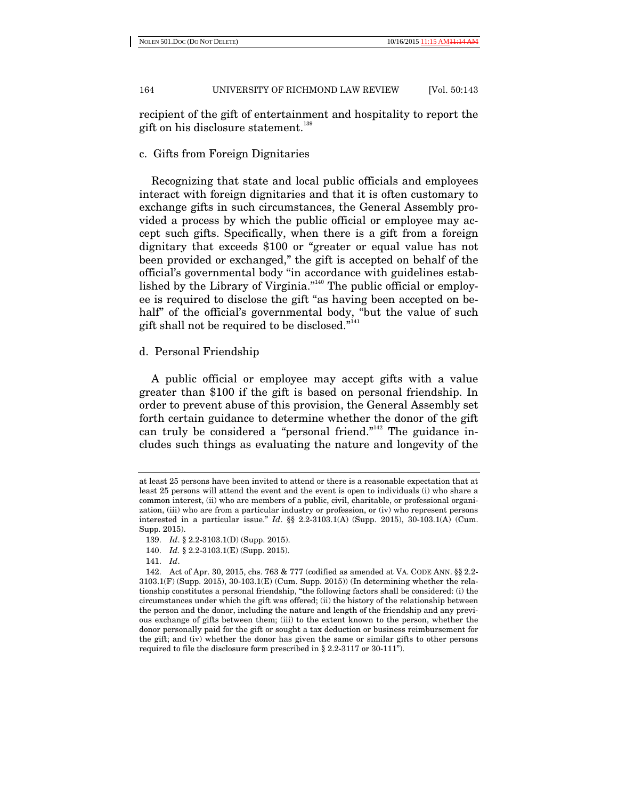NOLEN 501.DOC (DO NOT DELETE) 10/16/2015 11:15

164 UNIVERSITY OF RICHMOND LAW REVIEW [Vol. 50:143

recipient of the gift of entertainment and hospitality to report the gift on his disclosure statement.<sup>139</sup>

# c. Gifts from Foreign Dignitaries

Recognizing that state and local public officials and employees interact with foreign dignitaries and that it is often customary to exchange gifts in such circumstances, the General Assembly provided a process by which the public official or employee may accept such gifts. Specifically, when there is a gift from a foreign dignitary that exceeds \$100 or "greater or equal value has not been provided or exchanged," the gift is accepted on behalf of the official's governmental body "in accordance with guidelines established by the Library of Virginia."<sup>140</sup> The public official or employee is required to disclose the gift "as having been accepted on behalf" of the official's governmental body, "but the value of such gift shall not be required to be disclosed."141

# d. Personal Friendship

A public official or employee may accept gifts with a value greater than \$100 if the gift is based on personal friendship. In order to prevent abuse of this provision, the General Assembly set forth certain guidance to determine whether the donor of the gift can truly be considered a "personal friend."<sup>142</sup> The guidance includes such things as evaluating the nature and longevity of the

at least 25 persons have been invited to attend or there is a reasonable expectation that at least 25 persons will attend the event and the event is open to individuals (i) who share a common interest, (ii) who are members of a public, civil, charitable, or professional organization, (iii) who are from a particular industry or profession, or (iv) who represent persons interested in a particular issue." *Id*. §§ 2.2-3103.1(A) (Supp. 2015), 30-103.1(A) (Cum. Supp. 2015).

 <sup>139.</sup> *Id*. § 2.2-3103.1(D) (Supp. 2015).

 <sup>140.</sup> *Id.* § 2.2-3103.1(E) (Supp. 2015).

 <sup>141.</sup> *Id*.

 <sup>142.</sup> Act of Apr. 30, 2015, chs. 763 & 777 (codified as amended at VA. CODE ANN. §§ 2.2- 3103.1(F) (Supp. 2015), 30-103.1(E) (Cum. Supp. 2015)) (In determining whether the relationship constitutes a personal friendship, "the following factors shall be considered: (i) the circumstances under which the gift was offered; (ii) the history of the relationship between the person and the donor, including the nature and length of the friendship and any previous exchange of gifts between them; (iii) to the extent known to the person, whether the donor personally paid for the gift or sought a tax deduction or business reimbursement for the gift; and (iv) whether the donor has given the same or similar gifts to other persons required to file the disclosure form prescribed in § 2.2-3117 or 30-111").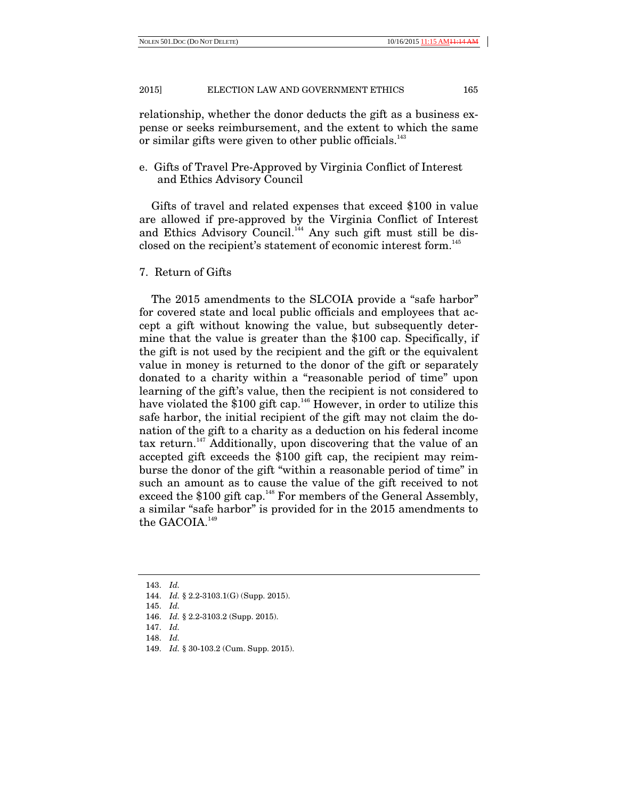relationship, whether the donor deducts the gift as a business expense or seeks reimbursement, and the extent to which the same or similar gifts were given to other public officials.<sup>143</sup>

e. Gifts of Travel Pre-Approved by Virginia Conflict of Interest and Ethics Advisory Council

Gifts of travel and related expenses that exceed \$100 in value are allowed if pre-approved by the Virginia Conflict of Interest and Ethics Advisory Council.<sup>144</sup> Any such gift must still be disclosed on the recipient's statement of economic interest form.<sup>145</sup>

7. Return of Gifts

The 2015 amendments to the SLCOIA provide a "safe harbor" for covered state and local public officials and employees that accept a gift without knowing the value, but subsequently determine that the value is greater than the \$100 cap. Specifically, if the gift is not used by the recipient and the gift or the equivalent value in money is returned to the donor of the gift or separately donated to a charity within a "reasonable period of time" upon learning of the gift's value, then the recipient is not considered to have violated the  $$100$  gift cap.<sup>146</sup> However, in order to utilize this safe harbor, the initial recipient of the gift may not claim the donation of the gift to a charity as a deduction on his federal income tax return.<sup> $147$ </sup> Additionally, upon discovering that the value of an accepted gift exceeds the \$100 gift cap, the recipient may reimburse the donor of the gift "within a reasonable period of time" in such an amount as to cause the value of the gift received to not exceed the \$100 gift cap.<sup>148</sup> For members of the General Assembly, a similar "safe harbor" is provided for in the 2015 amendments to the GACOIA.<sup>149</sup>

148. *Id.*

 <sup>143.</sup> *Id.* 

 <sup>144.</sup> *Id.* § 2.2-3103.1(G) (Supp. 2015).

 <sup>145.</sup> *Id.* 

 <sup>146.</sup> *Id.* § 2.2-3103.2 (Supp. 2015).

 <sup>147.</sup> *Id.* 

 <sup>149.</sup> *Id.* § 30-103.2 (Cum. Supp. 2015).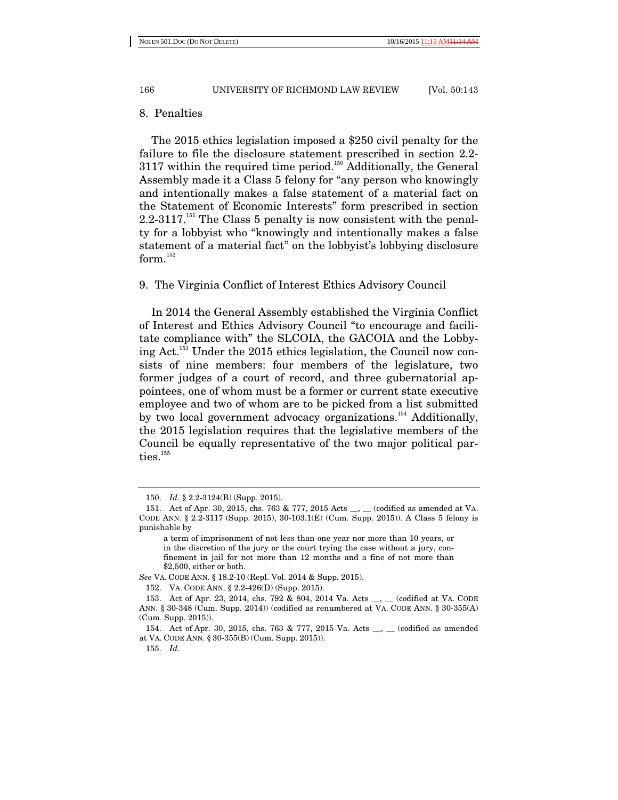## 8. Penalties

The 2015 ethics legislation imposed a \$250 civil penalty for the failure to file the disclosure statement prescribed in section 2.2- 3117 within the required time period.<sup>150</sup> Additionally, the General Assembly made it a Class 5 felony for "any person who knowingly and intentionally makes a false statement of a material fact on the Statement of Economic Interests" form prescribed in section  $2.2\n-3117$ <sup> $151$ </sup> The Class 5 penalty is now consistent with the penalty for a lobbyist who "knowingly and intentionally makes a false statement of a material fact" on the lobbyist's lobbying disclosure form.<sup>152</sup>

# 9. The Virginia Conflict of Interest Ethics Advisory Council

In 2014 the General Assembly established the Virginia Conflict of Interest and Ethics Advisory Council "to encourage and facilitate compliance with" the SLCOIA, the GACOIA and the Lobbying Act.153 Under the 2015 ethics legislation, the Council now consists of nine members: four members of the legislature, two former judges of a court of record, and three gubernatorial appointees, one of whom must be a former or current state executive employee and two of whom are to be picked from a list submitted by two local government advocacy organizations.<sup>154</sup> Additionally, the 2015 legislation requires that the legislative members of the Council be equally representative of the two major political par $ties.$ <sup>155</sup>

 <sup>150.</sup> *Id.* § 2.2-3124(B) (Supp. 2015).

 <sup>151.</sup> Act of Apr. 30, 2015, chs. 763 & 777, 2015 Acts \_\_, \_\_ (codified as amended at VA. CODE ANN. § 2.2-3117 (Supp. 2015), 30-103.1(E) (Cum. Supp. 2015)). A Class 5 felony is punishable by

a term of imprisonment of not less than one year nor more than 10 years, or in the discretion of the jury or the court trying the case without a jury, confinement in jail for not more than 12 months and a fine of not more than \$2,500, either or both.

*See* VA. CODE ANN. § 18.2-10 (Repl. Vol. 2014 & Supp. 2015).

 <sup>152.</sup> VA. CODE ANN. § 2.2-426(D) (Supp. 2015).

 <sup>153.</sup> Act of Apr. 23, 2014, chs. 792 & 804, 2014 Va. Acts \_\_, \_\_ (codified at VA. CODE ANN. § 30-348 (Cum. Supp. 2014)) (codified as renumbered at VA. CODE ANN. § 30-355(A) (Cum. Supp. 2015)).

 <sup>154.</sup> Act of Apr. 30, 2015, chs. 763 & 777, 2015 Va. Acts \_\_, \_\_ (codified as amended at VA. CODE ANN. § 30-355(B) (Cum. Supp. 2015)).

 <sup>155.</sup> *Id*.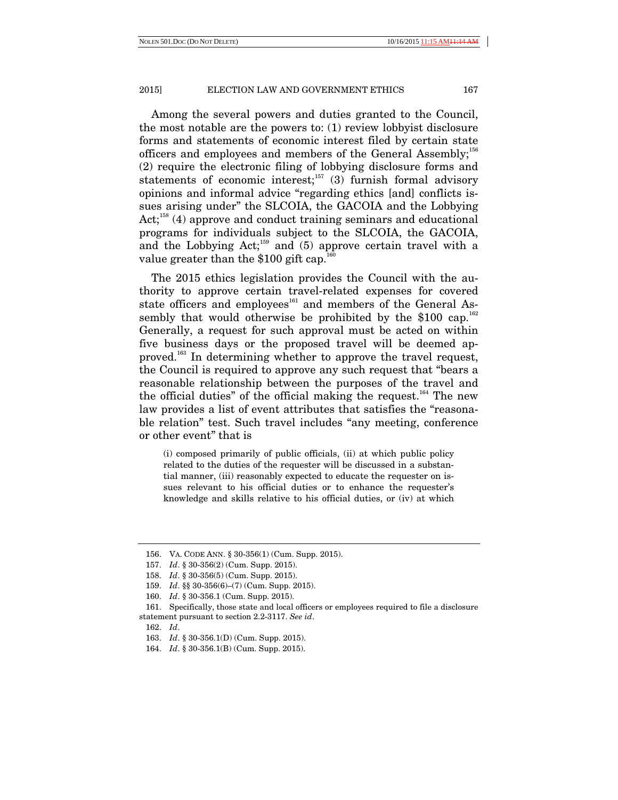Among the several powers and duties granted to the Council, the most notable are the powers to: (1) review lobbyist disclosure forms and statements of economic interest filed by certain state officers and employees and members of the General Assembly; $^{156}$ (2) require the electronic filing of lobbying disclosure forms and statements of economic interest;<sup>157</sup> (3) furnish formal advisory opinions and informal advice "regarding ethics [and] conflicts issues arising under" the SLCOIA, the GACOIA and the Lobbying  $Act;^{158}(4)$  approve and conduct training seminars and educational programs for individuals subject to the SLCOIA, the GACOIA, and the Lobbying  $Act;^{159}$  and (5) approve certain travel with a value greater than the  $$100$  gift cap.<sup>160</sup>

The 2015 ethics legislation provides the Council with the authority to approve certain travel-related expenses for covered state officers and employees<sup>161</sup> and members of the General Assembly that would otherwise be prohibited by the \$100 cap.<sup>162</sup> Generally, a request for such approval must be acted on within five business days or the proposed travel will be deemed approved.<sup>163</sup> In determining whether to approve the travel request, the Council is required to approve any such request that "bears a reasonable relationship between the purposes of the travel and the official duties" of the official making the request.<sup>164</sup> The new law provides a list of event attributes that satisfies the "reasonable relation" test. Such travel includes "any meeting, conference or other event" that is

(i) composed primarily of public officials, (ii) at which public policy related to the duties of the requester will be discussed in a substantial manner, (iii) reasonably expected to educate the requester on issues relevant to his official duties or to enhance the requester's knowledge and skills relative to his official duties, or (iv) at which

 <sup>156.</sup> VA. CODE ANN. § 30-356(1) (Cum. Supp. 2015).

 <sup>157.</sup> *Id*. § 30-356(2) (Cum. Supp. 2015).

 <sup>158.</sup> *Id*. § 30-356(5) (Cum. Supp. 2015).

 <sup>159.</sup> *Id*. §§ 30-356(6)–(7) (Cum. Supp. 2015).

 <sup>160.</sup> *Id*. § 30-356.1 (Cum. Supp. 2015).

 <sup>161.</sup> Specifically, those state and local officers or employees required to file a disclosure statement pursuant to section 2.2-3117. *See id*.

 <sup>162.</sup> *Id*.

 <sup>163.</sup> *Id*. § 30-356.1(D) (Cum. Supp. 2015).

 <sup>164.</sup> *Id*. § 30-356.1(B) (Cum. Supp. 2015).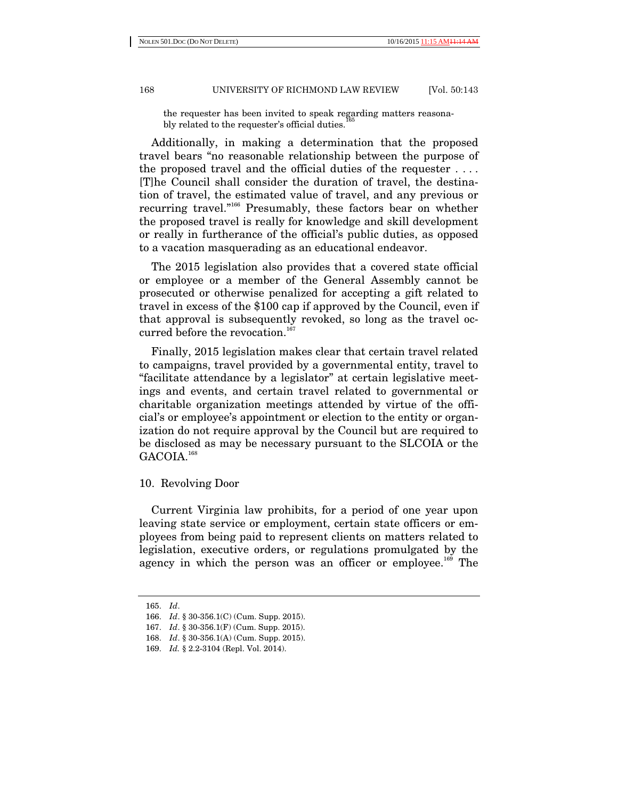the requester has been invited to speak regarding matters reasonably related to the requester's official duties.

Additionally, in making a determination that the proposed travel bears "no reasonable relationship between the purpose of the proposed travel and the official duties of the requester . . . . [T]he Council shall consider the duration of travel, the destination of travel, the estimated value of travel, and any previous or recurring travel."166 Presumably, these factors bear on whether the proposed travel is really for knowledge and skill development or really in furtherance of the official's public duties, as opposed to a vacation masquerading as an educational endeavor.

The 2015 legislation also provides that a covered state official or employee or a member of the General Assembly cannot be prosecuted or otherwise penalized for accepting a gift related to travel in excess of the \$100 cap if approved by the Council, even if that approval is subsequently revoked, so long as the travel occurred before the revocation.<sup>167</sup>

Finally, 2015 legislation makes clear that certain travel related to campaigns, travel provided by a governmental entity, travel to "facilitate attendance by a legislator" at certain legislative meetings and events, and certain travel related to governmental or charitable organization meetings attended by virtue of the official's or employee's appointment or election to the entity or organization do not require approval by the Council but are required to be disclosed as may be necessary pursuant to the SLCOIA or the GACOIA.<sup>168</sup>

# 10. Revolving Door

Current Virginia law prohibits, for a period of one year upon leaving state service or employment, certain state officers or employees from being paid to represent clients on matters related to legislation, executive orders, or regulations promulgated by the agency in which the person was an officer or employee.<sup>169</sup> The

 <sup>165.</sup> *Id*.

 <sup>166.</sup> *Id*. § 30-356.1(C) (Cum. Supp. 2015).

 <sup>167.</sup> *Id*. § 30-356.1(F) (Cum. Supp. 2015).

 <sup>168.</sup> *Id*. § 30-356.1(A) (Cum. Supp. 2015).

 <sup>169.</sup> *Id.* § 2.2-3104 (Repl. Vol. 2014).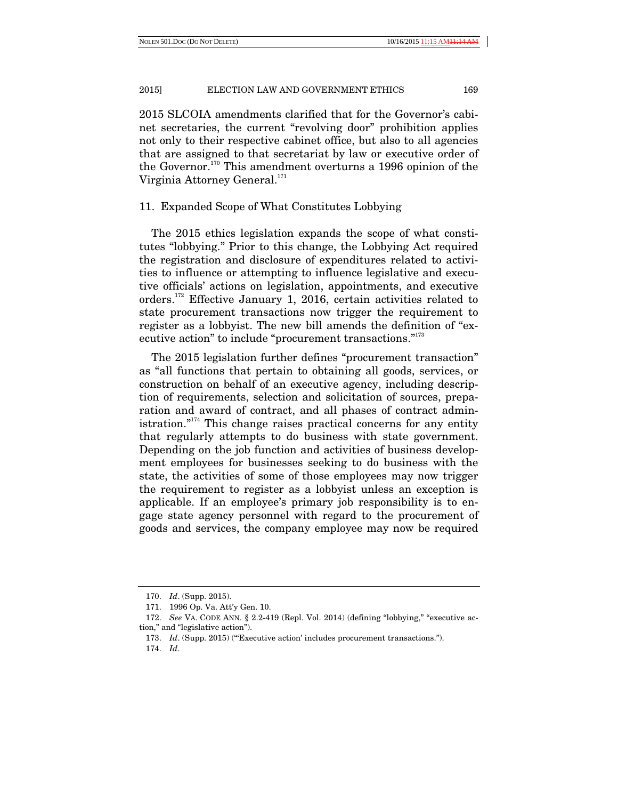2015 SLCOIA amendments clarified that for the Governor's cabinet secretaries, the current "revolving door" prohibition applies not only to their respective cabinet office, but also to all agencies that are assigned to that secretariat by law or executive order of the Governor.<sup>170</sup> This amendment overturns a 1996 opinion of the Virginia Attorney General.<sup>171</sup>

## 11. Expanded Scope of What Constitutes Lobbying

The 2015 ethics legislation expands the scope of what constitutes "lobbying." Prior to this change, the Lobbying Act required the registration and disclosure of expenditures related to activities to influence or attempting to influence legislative and executive officials' actions on legislation, appointments, and executive orders.172 Effective January 1, 2016, certain activities related to state procurement transactions now trigger the requirement to register as a lobbyist. The new bill amends the definition of "executive action" to include "procurement transactions."<sup>173</sup>

The 2015 legislation further defines "procurement transaction" as "all functions that pertain to obtaining all goods, services, or construction on behalf of an executive agency, including description of requirements, selection and solicitation of sources, preparation and award of contract, and all phases of contract administration."<sup>174</sup> This change raises practical concerns for any entity that regularly attempts to do business with state government. Depending on the job function and activities of business development employees for businesses seeking to do business with the state, the activities of some of those employees may now trigger the requirement to register as a lobbyist unless an exception is applicable. If an employee's primary job responsibility is to engage state agency personnel with regard to the procurement of goods and services, the company employee may now be required

 <sup>170.</sup> *Id*. (Supp. 2015).

 <sup>171. 1996</sup> Op. Va. Att'y Gen. 10.

 <sup>172.</sup> *See* VA. CODE ANN. § 2.2-419 (Repl. Vol. 2014) (defining "lobbying," "executive action," and "legislative action").

<sup>173.</sup> *Id.* (Supp. 2015) ("Executive action' includes procurement transactions.").

 <sup>174.</sup> *Id*.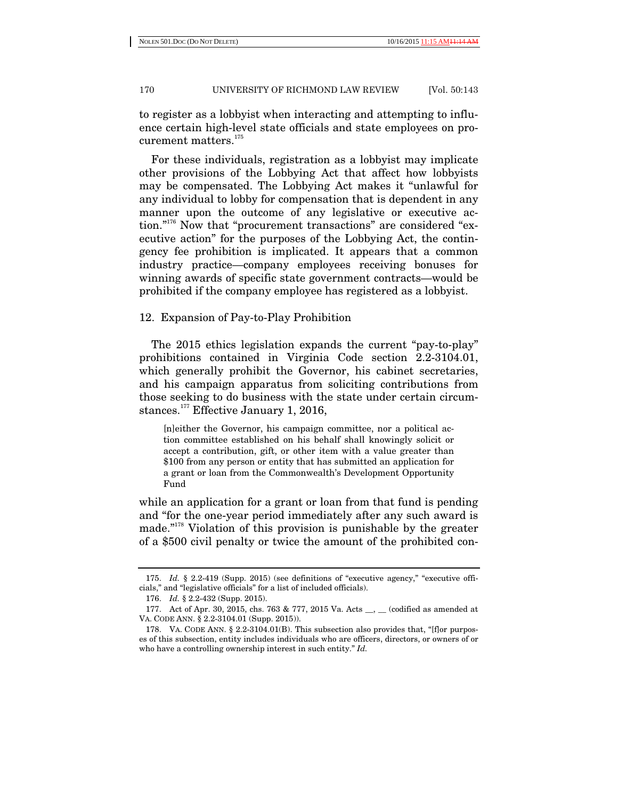to register as a lobbyist when interacting and attempting to influence certain high-level state officials and state employees on procurement matters.<sup>175</sup>

For these individuals, registration as a lobbyist may implicate other provisions of the Lobbying Act that affect how lobbyists may be compensated. The Lobbying Act makes it "unlawful for any individual to lobby for compensation that is dependent in any manner upon the outcome of any legislative or executive action."176 Now that "procurement transactions" are considered "executive action" for the purposes of the Lobbying Act, the contingency fee prohibition is implicated. It appears that a common industry practice—company employees receiving bonuses for winning awards of specific state government contracts—would be prohibited if the company employee has registered as a lobbyist.

# 12. Expansion of Pay-to-Play Prohibition

The 2015 ethics legislation expands the current "pay-to-play" prohibitions contained in Virginia Code section 2.2-3104.01, which generally prohibit the Governor, his cabinet secretaries, and his campaign apparatus from soliciting contributions from those seeking to do business with the state under certain circumstances.<sup>177</sup> Effective January 1, 2016,

[n]either the Governor, his campaign committee, nor a political action committee established on his behalf shall knowingly solicit or accept a contribution, gift, or other item with a value greater than \$100 from any person or entity that has submitted an application for a grant or loan from the Commonwealth's Development Opportunity Fund

while an application for a grant or loan from that fund is pending and "for the one-year period immediately after any such award is made."178 Violation of this provision is punishable by the greater of a \$500 civil penalty or twice the amount of the prohibited con-

 <sup>175.</sup> *Id.* § 2.2-419 (Supp. 2015) (see definitions of "executive agency," "executive officials," and "legislative officials" for a list of included officials).

 <sup>176.</sup> *Id.* § 2.2-432 (Supp. 2015).

<sup>177.</sup> Act of Apr. 30, 2015, chs. 763 & 777, 2015 Va. Acts <sub>\_\_</sub>, \_\_ (codified as amended at VA. CODE ANN. § 2.2-3104.01 (Supp. 2015)).

 <sup>178.</sup> VA. CODE ANN. § 2.2-3104.01(B). This subsection also provides that, "[f]or purposes of this subsection, entity includes individuals who are officers, directors, or owners of or who have a controlling ownership interest in such entity." *Id.*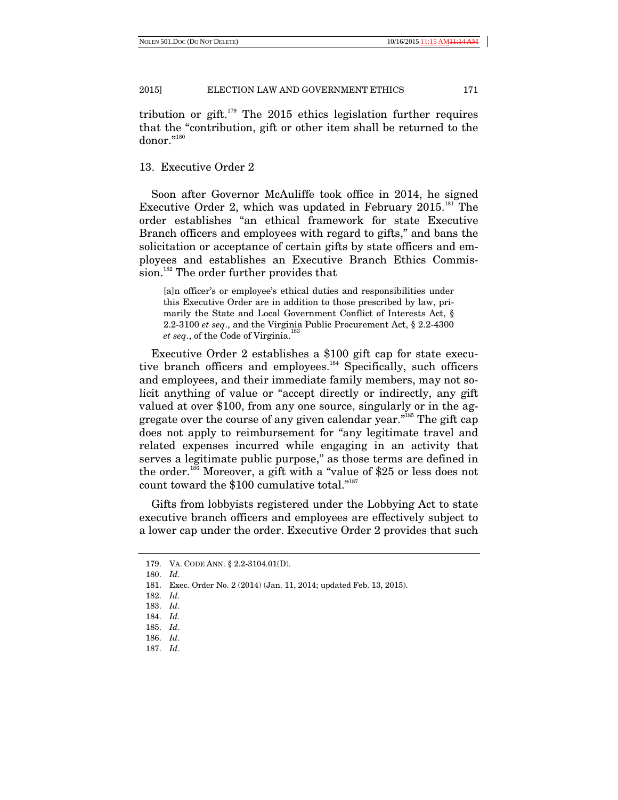tribution or gift.<sup> $179$ </sup> The 2015 ethics legislation further requires that the "contribution, gift or other item shall be returned to the donor."180

# 13. Executive Order 2

Soon after Governor McAuliffe took office in 2014, he signed Executive Order 2, which was updated in February  $2015$ .<sup>181</sup> The order establishes "an ethical framework for state Executive Branch officers and employees with regard to gifts," and bans the solicitation or acceptance of certain gifts by state officers and employees and establishes an Executive Branch Ethics Commission.<sup>182</sup> The order further provides that

[a]n officer's or employee's ethical duties and responsibilities under this Executive Order are in addition to those prescribed by law, primarily the State and Local Government Conflict of Interests Act, § 2.2-3100 *et seq*., and the Virginia Public Procurement Act, § 2.2-4300 *et seq.*, of the Code of Virginia.<sup>183</sup>

Executive Order 2 establishes a \$100 gift cap for state executive branch officers and employees.<sup>184</sup> Specifically, such officers and employees, and their immediate family members, may not solicit anything of value or "accept directly or indirectly, any gift valued at over \$100, from any one source, singularly or in the aggregate over the course of any given calendar year.<sup>"185</sup> The gift cap does not apply to reimbursement for "any legitimate travel and related expenses incurred while engaging in an activity that serves a legitimate public purpose," as those terms are defined in the order.186 Moreover, a gift with a "value of \$25 or less does not count toward the \$100 cumulative total."187

Gifts from lobbyists registered under the Lobbying Act to state executive branch officers and employees are effectively subject to a lower cap under the order. Executive Order 2 provides that such

 <sup>179.</sup> VA. CODE ANN. § 2.2-3104.01(D).

 <sup>180.</sup> *Id*.

 <sup>181.</sup> Exec. Order No. 2 (2014) (Jan. 11, 2014; updated Feb. 13, 2015).

 <sup>182.</sup> *Id.* 

 <sup>183.</sup> *Id*.

 <sup>184.</sup> *Id.* 

 <sup>185.</sup> *Id*.

 <sup>186.</sup> *Id*.

 <sup>187.</sup> *Id*.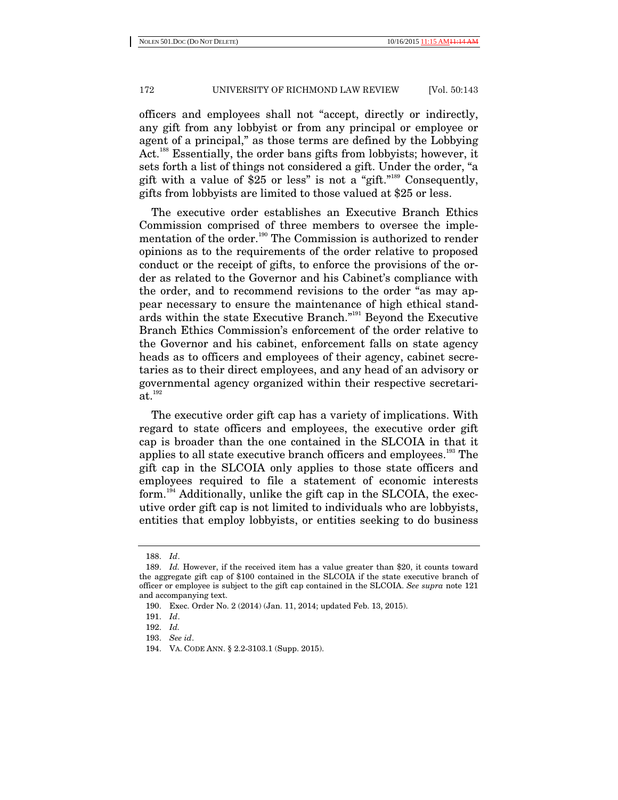officers and employees shall not "accept, directly or indirectly, any gift from any lobbyist or from any principal or employee or agent of a principal," as those terms are defined by the Lobbying Act.<sup>188</sup> Essentially, the order bans gifts from lobbyists; however, it sets forth a list of things not considered a gift. Under the order, "a gift with a value of \$25 or less" is not a "gift."<sup>189</sup> Consequently, gifts from lobbyists are limited to those valued at \$25 or less.

The executive order establishes an Executive Branch Ethics Commission comprised of three members to oversee the implementation of the order.<sup>190</sup> The Commission is authorized to render opinions as to the requirements of the order relative to proposed conduct or the receipt of gifts, to enforce the provisions of the order as related to the Governor and his Cabinet's compliance with the order, and to recommend revisions to the order "as may appear necessary to ensure the maintenance of high ethical standards within the state Executive Branch."191 Beyond the Executive Branch Ethics Commission's enforcement of the order relative to the Governor and his cabinet, enforcement falls on state agency heads as to officers and employees of their agency, cabinet secretaries as to their direct employees, and any head of an advisory or governmental agency organized within their respective secretari $at.<sup>192</sup>$ 

The executive order gift cap has a variety of implications. With regard to state officers and employees, the executive order gift cap is broader than the one contained in the SLCOIA in that it applies to all state executive branch officers and employees.<sup>193</sup> The gift cap in the SLCOIA only applies to those state officers and employees required to file a statement of economic interests form.194 Additionally, unlike the gift cap in the SLCOIA, the executive order gift cap is not limited to individuals who are lobbyists, entities that employ lobbyists, or entities seeking to do business

 <sup>188.</sup> *Id*.

<sup>189.</sup> *Id.* However, if the received item has a value greater than \$20, it counts toward the aggregate gift cap of \$100 contained in the SLCOIA if the state executive branch of officer or employee is subject to the gift cap contained in the SLCOIA. *See supra* note 121 and accompanying text.

 <sup>190.</sup> Exec. Order No. 2 (2014) (Jan. 11, 2014; updated Feb. 13, 2015).

 <sup>191.</sup> *Id*.

 <sup>192.</sup> *Id.* 

 <sup>193.</sup> *See id*.

 <sup>194.</sup> VA. CODE ANN. § 2.2-3103.1 (Supp. 2015).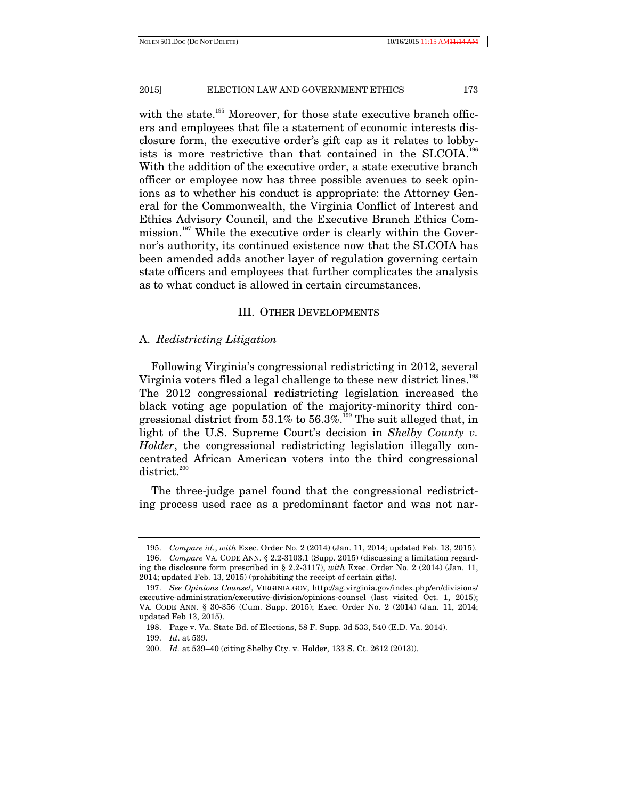with the state.<sup>195</sup> Moreover, for those state executive branch officers and employees that file a statement of economic interests disclosure form, the executive order's gift cap as it relates to lobbyists is more restrictive than that contained in the SLCOIA.<sup>196</sup> With the addition of the executive order, a state executive branch officer or employee now has three possible avenues to seek opinions as to whether his conduct is appropriate: the Attorney General for the Commonwealth, the Virginia Conflict of Interest and Ethics Advisory Council, and the Executive Branch Ethics Commission.<sup>197</sup> While the executive order is clearly within the Governor's authority, its continued existence now that the SLCOIA has been amended adds another layer of regulation governing certain state officers and employees that further complicates the analysis as to what conduct is allowed in certain circumstances.

## III. OTHER DEVELOPMENTS

# A. *Redistricting Litigation*

Following Virginia's congressional redistricting in 2012, several Virginia voters filed a legal challenge to these new district lines.<sup>198</sup> The 2012 congressional redistricting legislation increased the black voting age population of the majority-minority third congressional district from 53.1% to 56.3%.<sup>199</sup> The suit alleged that, in light of the U.S. Supreme Court's decision in *Shelby County v. Holder*, the congressional redistricting legislation illegally concentrated African American voters into the third congressional district.<sup>200</sup>

The three-judge panel found that the congressional redistricting process used race as a predominant factor and was not nar-

 <sup>195.</sup> *Compare id.*, *with* Exec. Order No. 2 (2014) (Jan. 11, 2014; updated Feb. 13, 2015).

 <sup>196.</sup> *Compare* VA. CODE ANN. § 2.2-3103.1 (Supp. 2015) (discussing a limitation regarding the disclosure form prescribed in § 2.2-3117), *with* Exec. Order No. 2 (2014) (Jan. 11, 2014; updated Feb. 13, 2015) (prohibiting the receipt of certain gifts).

 <sup>197.</sup> *See Opinions Counsel*, VIRGINIA.GOV, http://ag.virginia.gov/index.php/en/divisions/ executive-administration/executive-division/opinions-counsel (last visited Oct. 1, 2015); VA. CODE ANN. § 30-356 (Cum. Supp. 2015); Exec. Order No. 2 (2014) (Jan. 11, 2014; updated Feb 13, 2015).

 <sup>198.</sup> Page v. Va. State Bd. of Elections, 58 F. Supp. 3d 533, 540 (E.D. Va. 2014).

 <sup>199.</sup> *Id*. at 539.

 <sup>200.</sup> *Id.* at 539–40 (citing Shelby Cty. v. Holder, 133 S. Ct. 2612 (2013)).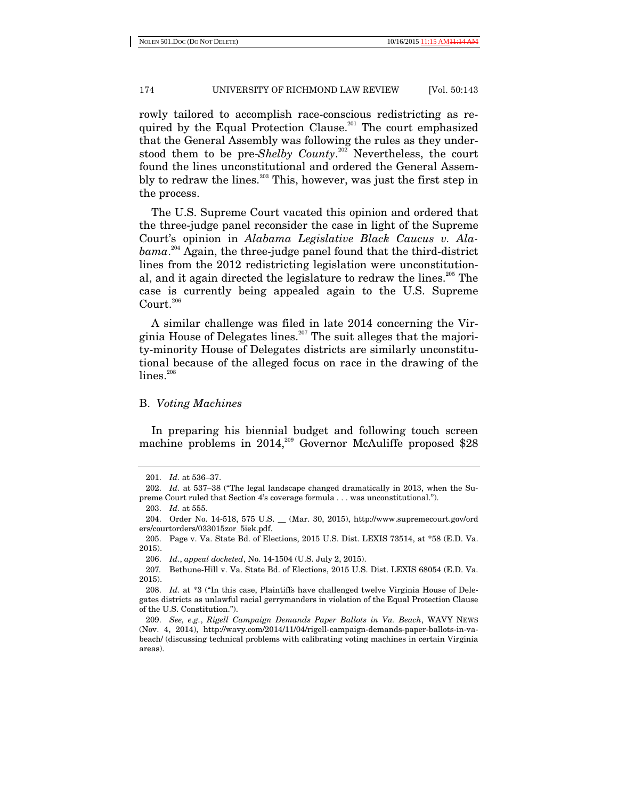rowly tailored to accomplish race-conscious redistricting as required by the Equal Protection Clause.<sup>201</sup> The court emphasized that the General Assembly was following the rules as they understood them to be pre-*Shelby County*. 202 Nevertheless, the court found the lines unconstitutional and ordered the General Assembly to redraw the lines.<sup>203</sup> This, however, was just the first step in the process.

The U.S. Supreme Court vacated this opinion and ordered that the three-judge panel reconsider the case in light of the Supreme Court's opinion in *Alabama Legislative Black Caucus v. Alabama*. 204 Again, the three-judge panel found that the third-district lines from the 2012 redistricting legislation were unconstitutional, and it again directed the legislature to redraw the lines.<sup>205</sup> The case is currently being appealed again to the U.S. Supreme Court.<sup>206</sup>

A similar challenge was filed in late 2014 concerning the Virginia House of Delegates lines.207 The suit alleges that the majority-minority House of Delegates districts are similarly unconstitutional because of the alleged focus on race in the drawing of the  $lines.<sup>208</sup>$ 

# B. *Voting Machines*

In preparing his biennial budget and following touch screen machine problems in  $2014$ ,<sup>209</sup> Governor McAuliffe proposed \$28

 <sup>201.</sup> *Id.* at 536–37.

 <sup>202.</sup> *Id.* at 537–38 ("The legal landscape changed dramatically in 2013, when the Supreme Court ruled that Section 4's coverage formula . . . was unconstitutional.").

 <sup>203.</sup> *Id.* at 555.

 <sup>204.</sup> Order No. 14-518, 575 U.S. \_\_ (Mar. 30, 2015), http://www.supremecourt.gov/ord ers/courtorders/033015zor\_5iek.pdf.

 <sup>205.</sup> Page v. Va. State Bd. of Elections, 2015 U.S. Dist. LEXIS 73514, at \*58 (E.D. Va. 2015).

 <sup>206.</sup> *Id.*, *appeal docketed*, No. 14-1504 (U.S. July 2, 2015).

<sup>207</sup>*.* Bethune-Hill v. Va. State Bd. of Elections, 2015 U.S. Dist. LEXIS 68054 (E.D. Va. 2015).

 <sup>208.</sup> *Id.* at \*3 ("In this case, Plaintiffs have challenged twelve Virginia House of Delegates districts as unlawful racial gerrymanders in violation of the Equal Protection Clause of the U.S. Constitution.").

 <sup>209.</sup> *See, e.g.*, *Rigell Campaign Demands Paper Ballots in Va. Beach*, WAVY NEWS (Nov. 4, 2014), http://wavy.com/2014/11/04/rigell-campaign-demands-paper-ballots-in-vabeach/ (discussing technical problems with calibrating voting machines in certain Virginia areas).